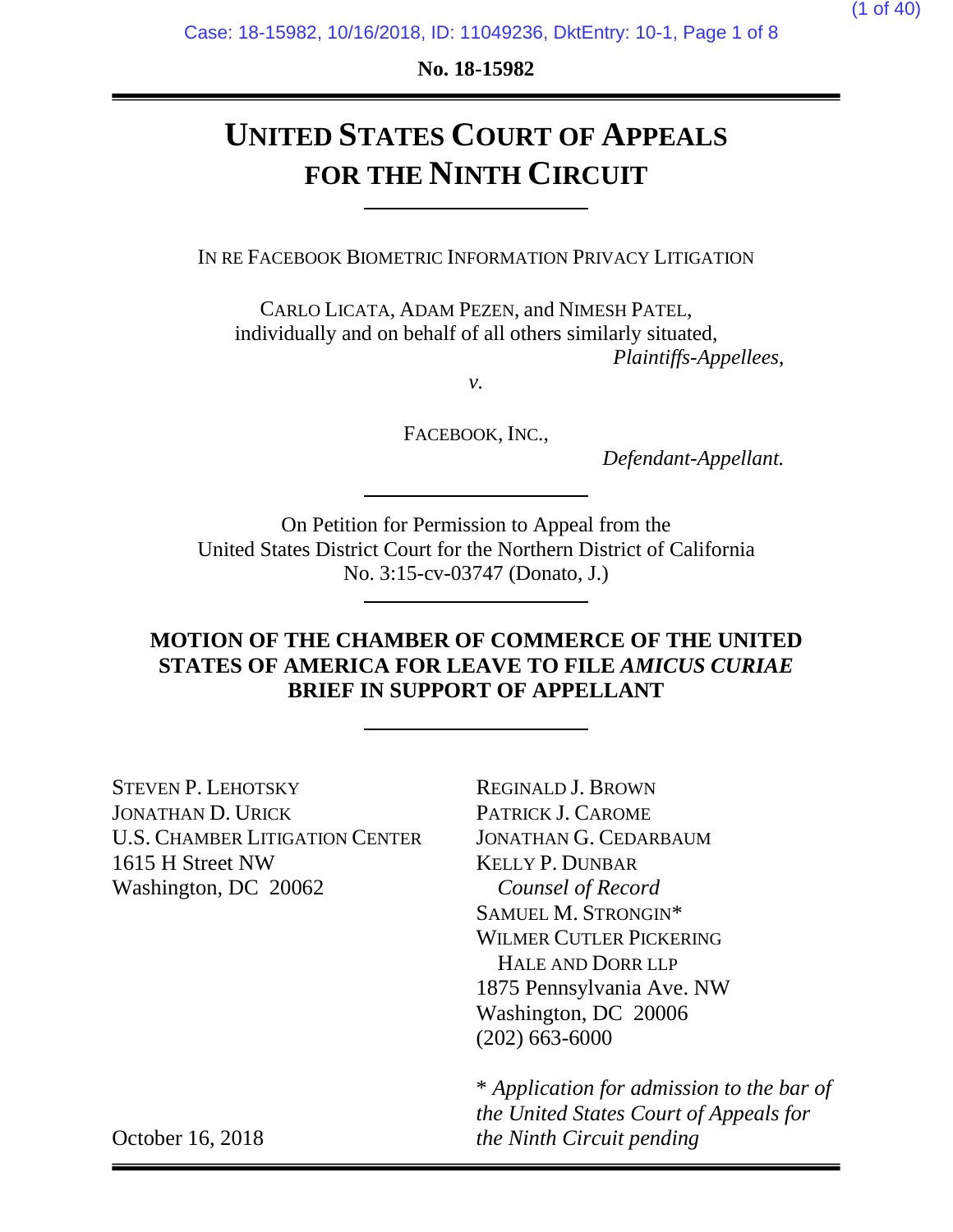**No. 18-15982**

# **UNITED STATES COURT OF APPEALS FOR THE NINTH CIRCUIT**

IN RE FACEBOOK BIOMETRIC INFORMATION PRIVACY LITIGATION

CARLO LICATA, ADAM PEZEN, and NIMESH PATEL, individually and on behalf of all others similarly situated, *Plaintiffs-Appellees*,

*v.*

FACEBOOK, INC.,

*Defendant-Appellant.*

On Petition for Permission to Appeal from the United States District Court for the Northern District of California No. 3:15-cv-03747 (Donato, J.)

## **MOTION OF THE CHAMBER OF COMMERCE OF THE UNITED STATES OF AMERICA FOR LEAVE TO FILE** *AMICUS CURIAE*  **BRIEF IN SUPPORT OF APPELLANT**

STEVEN P. LEHOTSKY JONATHAN D. URICK U.S. CHAMBER LITIGATION CENTER 1615 H Street NW Washington, DC 20062

REGINALD J. BROWN PATRICK J. CAROME JONATHAN G. CEDARBAUM KELLY P. DUNBAR *Counsel of Record* SAMUEL M. STRONGIN\* WILMER CUTLER PICKERING HALE AND DORR LLP 1875 Pennsylvania Ave. NW Washington, DC 20006 (202) 663-6000

\* *Application for admission to the bar of the United States Court of Appeals for the Ninth Circuit pending*

October 16, 2018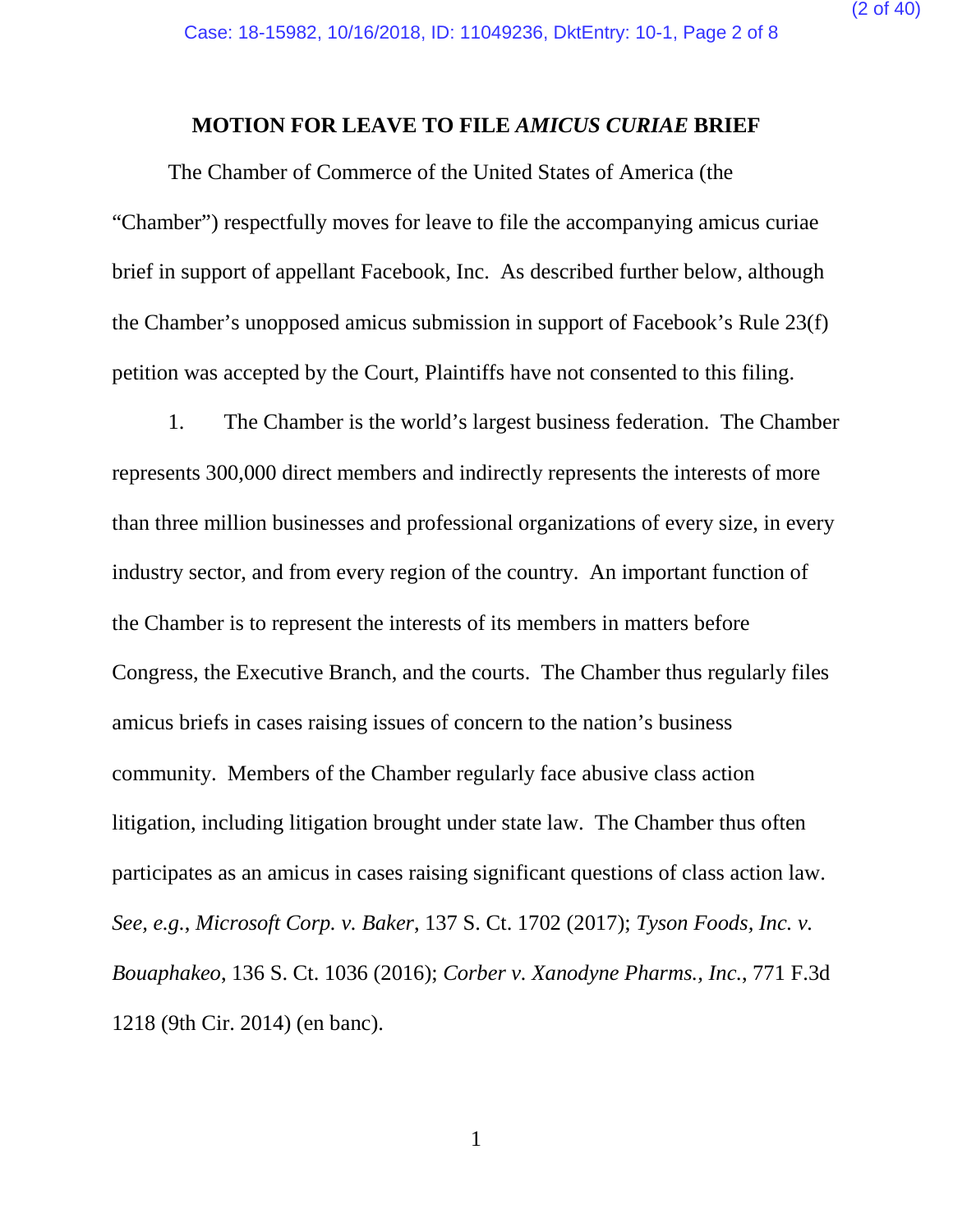#### **MOTION FOR LEAVE TO FILE** *AMICUS CURIAE* **BRIEF**

The Chamber of Commerce of the United States of America (the "Chamber") respectfully moves for leave to file the accompanying amicus curiae brief in support of appellant Facebook, Inc. As described further below, although the Chamber's unopposed amicus submission in support of Facebook's Rule 23(f) petition was accepted by the Court, Plaintiffs have not consented to this filing.

1. The Chamber is the world's largest business federation. The Chamber represents 300,000 direct members and indirectly represents the interests of more than three million businesses and professional organizations of every size, in every industry sector, and from every region of the country. An important function of the Chamber is to represent the interests of its members in matters before Congress, the Executive Branch, and the courts. The Chamber thus regularly files amicus briefs in cases raising issues of concern to the nation's business community. Members of the Chamber regularly face abusive class action litigation, including litigation brought under state law. The Chamber thus often participates as an amicus in cases raising significant questions of class action law. *See, e.g.*, *Microsoft Corp. v. Baker*, 137 S. Ct. 1702 (2017); *Tyson Foods, Inc. v. Bouaphakeo*, 136 S. Ct. 1036 (2016); *Corber v. Xanodyne Pharms., Inc.*, 771 F.3d 1218 (9th Cir. 2014) (en banc).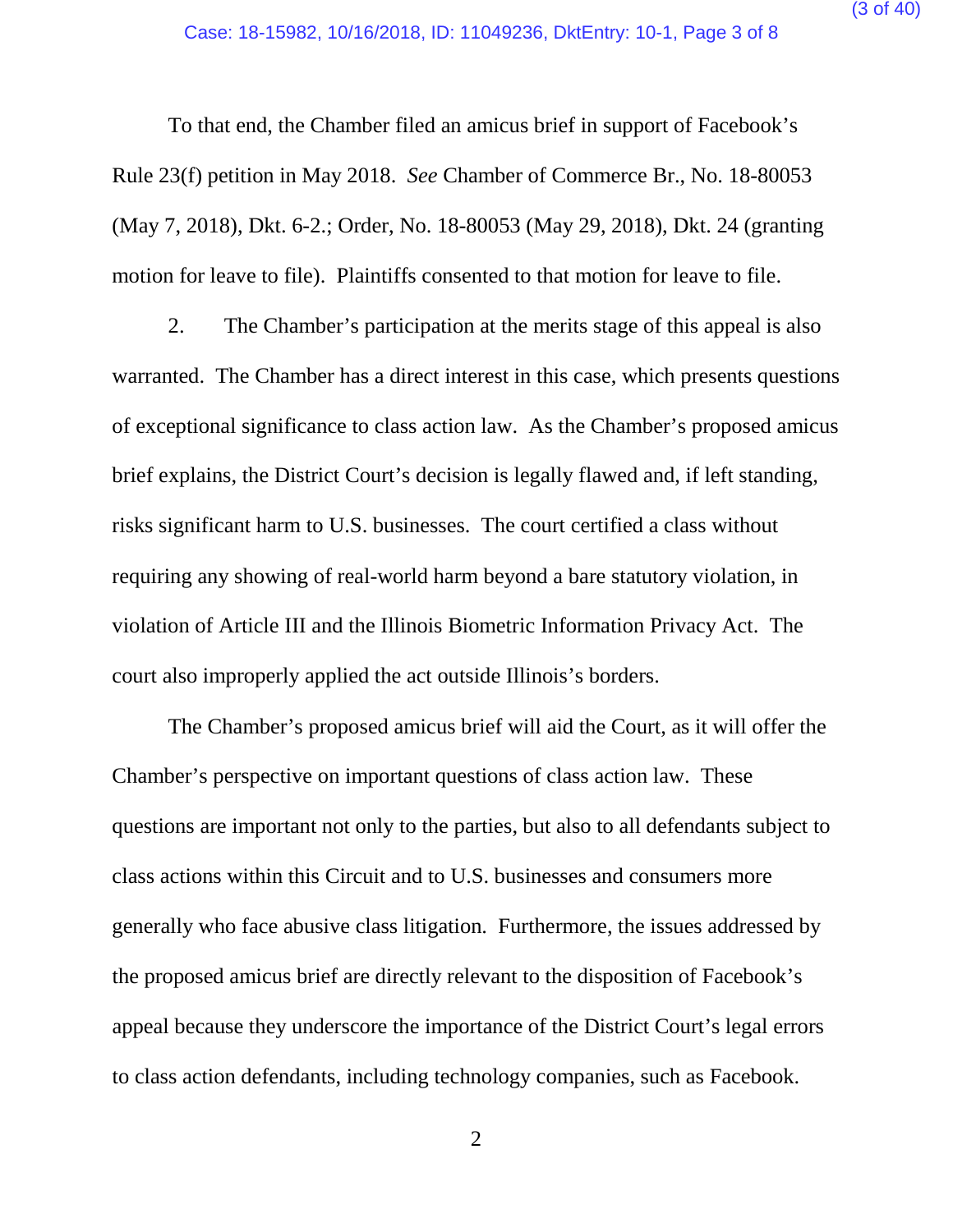To that end, the Chamber filed an amicus brief in support of Facebook's Rule 23(f) petition in May 2018. *See* Chamber of Commerce Br., No. 18-80053 (May 7, 2018), Dkt. 6-2.; Order, No. 18-80053 (May 29, 2018), Dkt. 24 (granting motion for leave to file). Plaintiffs consented to that motion for leave to file.

2. The Chamber's participation at the merits stage of this appeal is also warranted. The Chamber has a direct interest in this case, which presents questions of exceptional significance to class action law. As the Chamber's proposed amicus brief explains, the District Court's decision is legally flawed and, if left standing, risks significant harm to U.S. businesses. The court certified a class without requiring any showing of real-world harm beyond a bare statutory violation, in violation of Article III and the Illinois Biometric Information Privacy Act. The court also improperly applied the act outside Illinois's borders.

The Chamber's proposed amicus brief will aid the Court, as it will offer the Chamber's perspective on important questions of class action law. These questions are important not only to the parties, but also to all defendants subject to class actions within this Circuit and to U.S. businesses and consumers more generally who face abusive class litigation. Furthermore, the issues addressed by the proposed amicus brief are directly relevant to the disposition of Facebook's appeal because they underscore the importance of the District Court's legal errors to class action defendants, including technology companies, such as Facebook.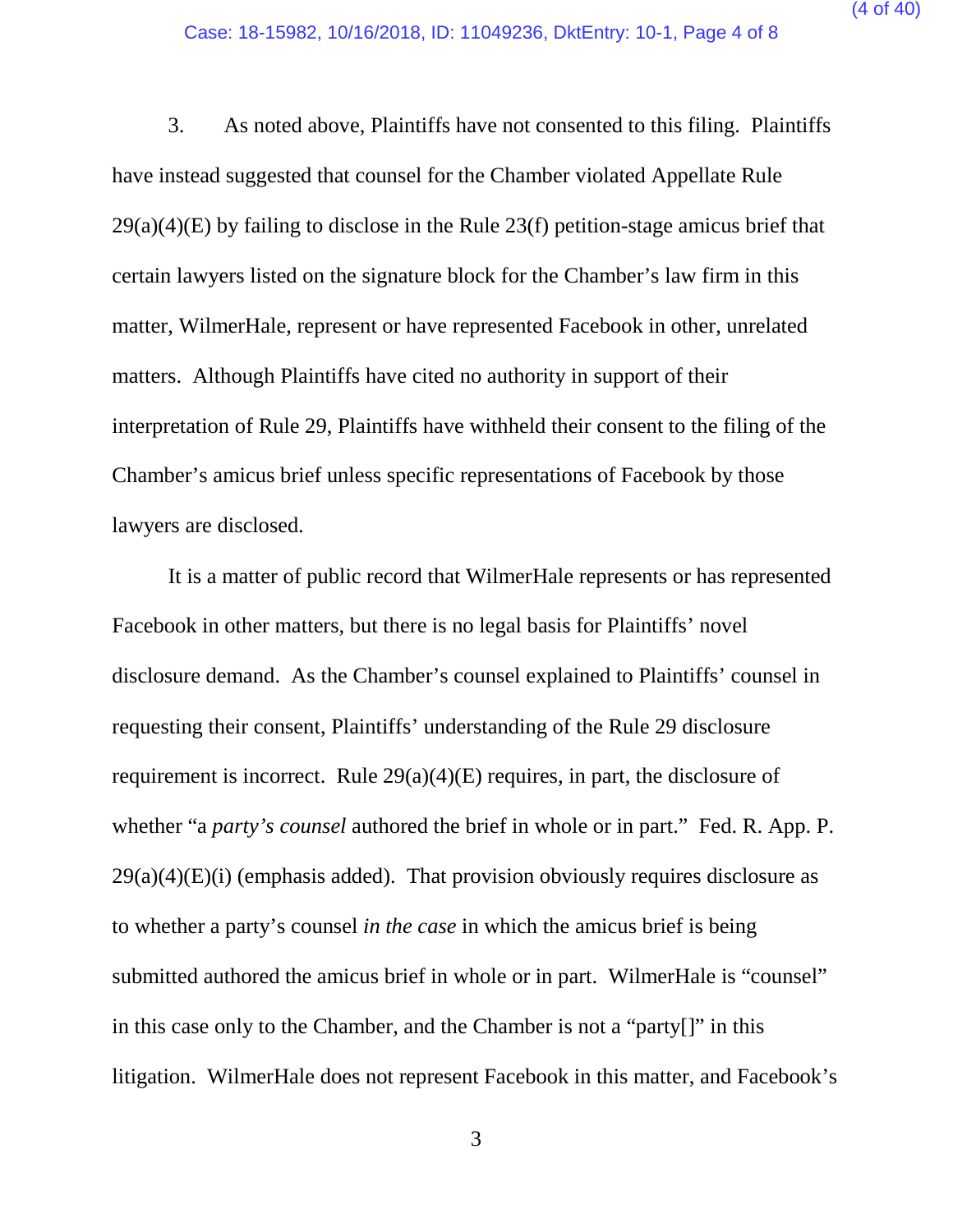3. As noted above, Plaintiffs have not consented to this filing. Plaintiffs have instead suggested that counsel for the Chamber violated Appellate Rule 29(a)(4)(E) by failing to disclose in the Rule 23(f) petition-stage amicus brief that certain lawyers listed on the signature block for the Chamber's law firm in this matter, WilmerHale, represent or have represented Facebook in other, unrelated matters. Although Plaintiffs have cited no authority in support of their interpretation of Rule 29, Plaintiffs have withheld their consent to the filing of the Chamber's amicus brief unless specific representations of Facebook by those lawyers are disclosed.

It is a matter of public record that WilmerHale represents or has represented Facebook in other matters, but there is no legal basis for Plaintiffs' novel disclosure demand. As the Chamber's counsel explained to Plaintiffs' counsel in requesting their consent, Plaintiffs' understanding of the Rule 29 disclosure requirement is incorrect. Rule 29(a)(4)(E) requires, in part, the disclosure of whether "a *party's counsel* authored the brief in whole or in part." Fed. R. App. P.  $29(a)(4)(E)(i)$  (emphasis added). That provision obviously requires disclosure as to whether a party's counsel *in the case* in which the amicus brief is being submitted authored the amicus brief in whole or in part. WilmerHale is "counsel" in this case only to the Chamber, and the Chamber is not a "party[]" in this litigation. WilmerHale does not represent Facebook in this matter, and Facebook's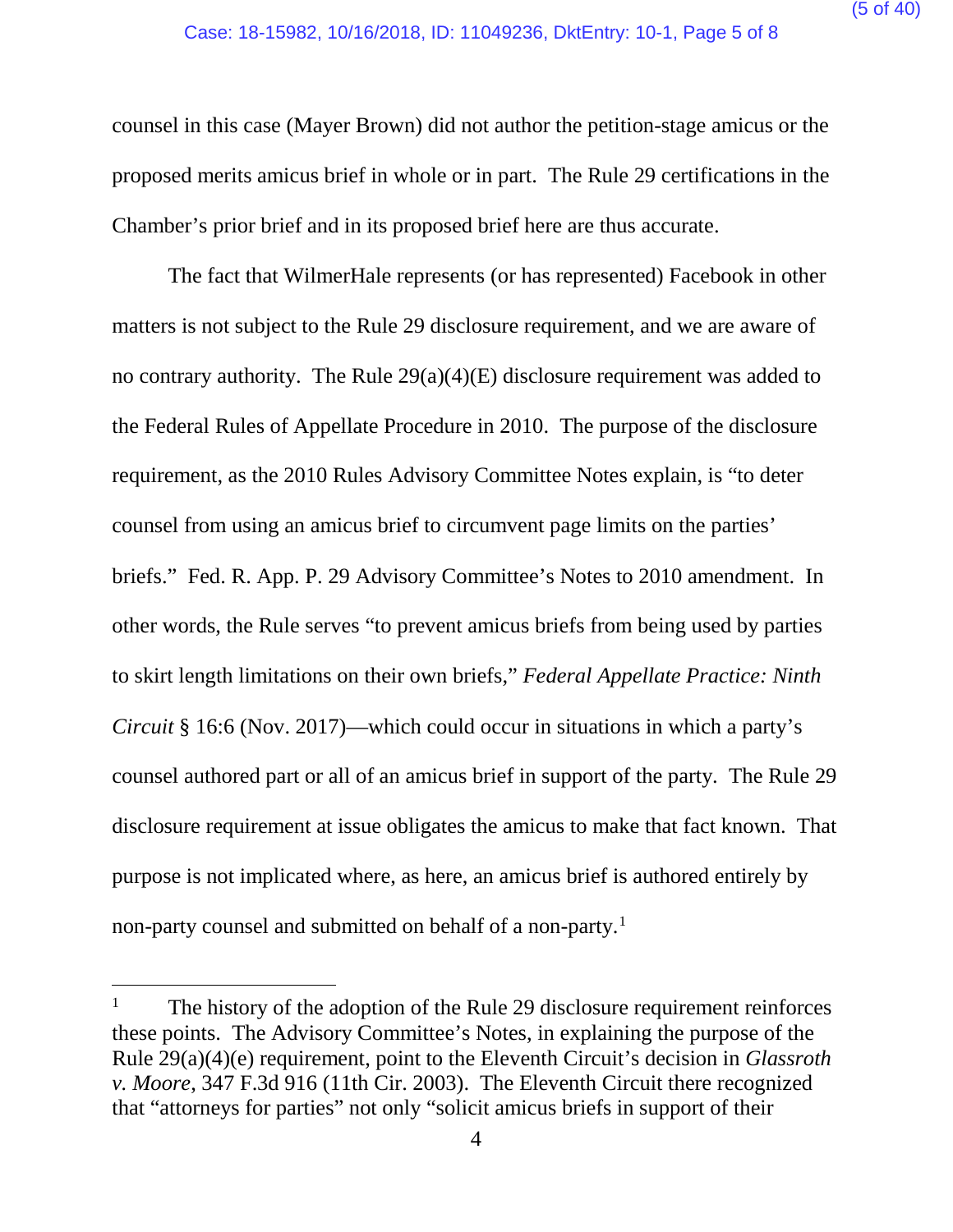counsel in this case (Mayer Brown) did not author the petition-stage amicus or the proposed merits amicus brief in whole or in part. The Rule 29 certifications in the Chamber's prior brief and in its proposed brief here are thus accurate.

The fact that WilmerHale represents (or has represented) Facebook in other matters is not subject to the Rule 29 disclosure requirement, and we are aware of no contrary authority. The Rule 29(a)(4)(E) disclosure requirement was added to the Federal Rules of Appellate Procedure in 2010. The purpose of the disclosure requirement, as the 2010 Rules Advisory Committee Notes explain, is "to deter counsel from using an amicus brief to circumvent page limits on the parties' briefs." Fed. R. App. P. 29 Advisory Committee's Notes to 2010 amendment. In other words, the Rule serves "to prevent amicus briefs from being used by parties to skirt length limitations on their own briefs," *Federal Appellate Practice: Ninth Circuit* § 16:6 (Nov. 2017)—which could occur in situations in which a party's counsel authored part or all of an amicus brief in support of the party. The Rule 29 disclosure requirement at issue obligates the amicus to make that fact known. That purpose is not implicated where, as here, an amicus brief is authored entirely by non-party counsel and submitted on behalf of a non-party.<sup>[1](#page-4-0)</sup>

<span id="page-4-0"></span>The history of the adoption of the Rule 29 disclosure requirement reinforces these points. The Advisory Committee's Notes, in explaining the purpose of the Rule 29(a)(4)(e) requirement, point to the Eleventh Circuit's decision in *Glassroth v. Moore*, 347 F.3d 916 (11th Cir. 2003). The Eleventh Circuit there recognized that "attorneys for parties" not only "solicit amicus briefs in support of their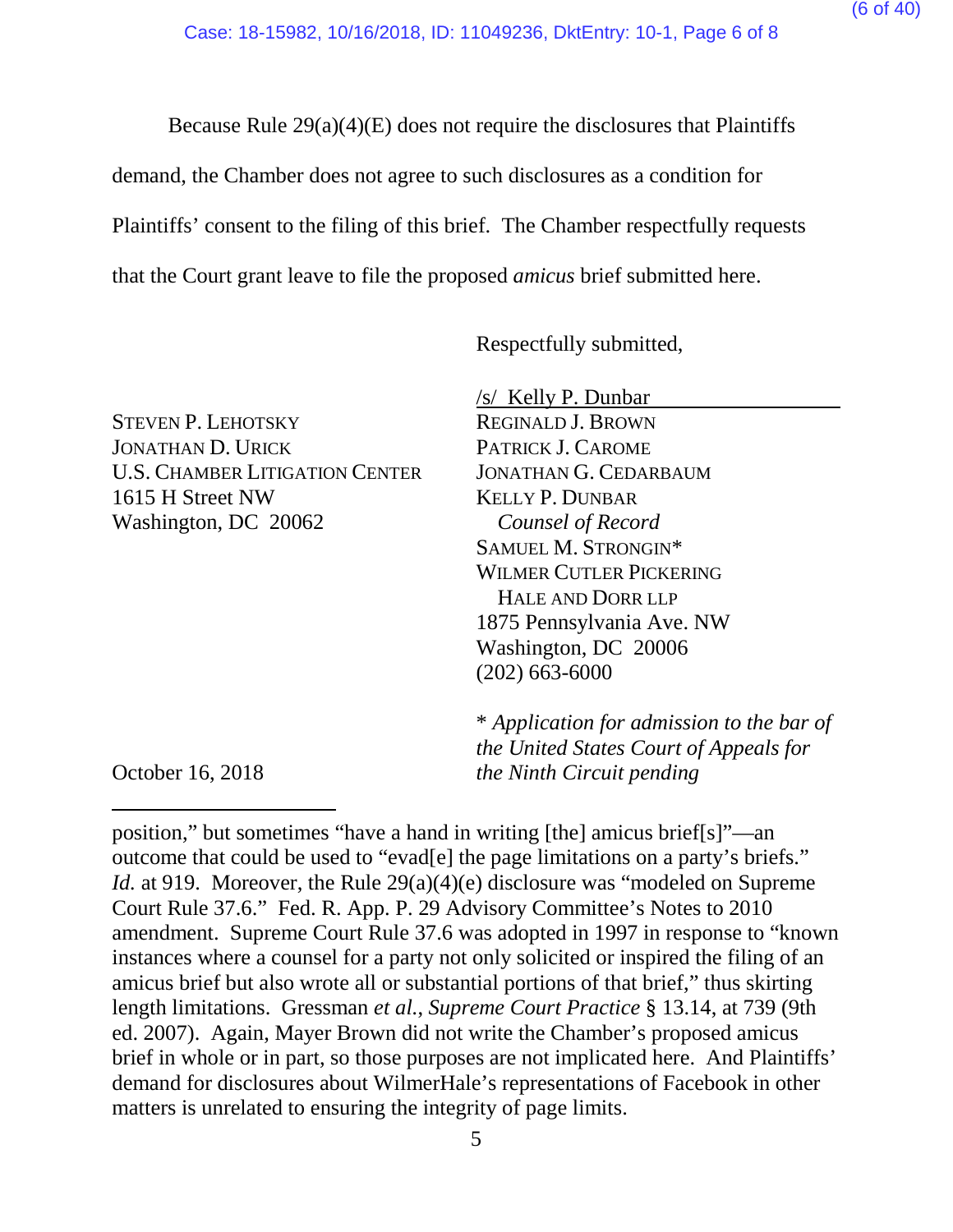Because Rule 29(a)(4)(E) does not require the disclosures that Plaintiffs

demand, the Chamber does not agree to such disclosures as a condition for

Plaintiffs' consent to the filing of this brief. The Chamber respectfully requests

that the Court grant leave to file the proposed *amicus* brief submitted here.

Respectfully submitted,

STEVEN P. LEHOTSKY JONATHAN D. URICK U.S. CHAMBER LITIGATION CENTER 1615 H Street NW Washington, DC 20062

/s/ Kelly P. Dunbar

REGINALD J. BROWN PATRICK J. CAROME JONATHAN G. CEDARBAUM KELLY P. DUNBAR *Counsel of Record* SAMUEL M. STRONGIN\* WILMER CUTLER PICKERING HALE AND DORR LLP 1875 Pennsylvania Ave. NW Washington, DC 20006 (202) 663-6000

\* *Application for admission to the bar of the United States Court of Appeals for the Ninth Circuit pending*

October 16, 2018

 $\overline{a}$ 

position," but sometimes "have a hand in writing [the] amicus brief[s]"—an outcome that could be used to "evad[e] the page limitations on a party's briefs." *Id.* at 919. Moreover, the Rule 29(a)(4)(e) disclosure was "modeled on Supreme Court Rule 37.6." Fed. R. App. P. 29 Advisory Committee's Notes to 2010 amendment. Supreme Court Rule 37.6 was adopted in 1997 in response to "known instances where a counsel for a party not only solicited or inspired the filing of an amicus brief but also wrote all or substantial portions of that brief," thus skirting length limitations. Gressman *et al.*, *Supreme Court Practice* § 13.14, at 739 (9th ed. 2007). Again, Mayer Brown did not write the Chamber's proposed amicus brief in whole or in part, so those purposes are not implicated here. And Plaintiffs' demand for disclosures about WilmerHale's representations of Facebook in other matters is unrelated to ensuring the integrity of page limits.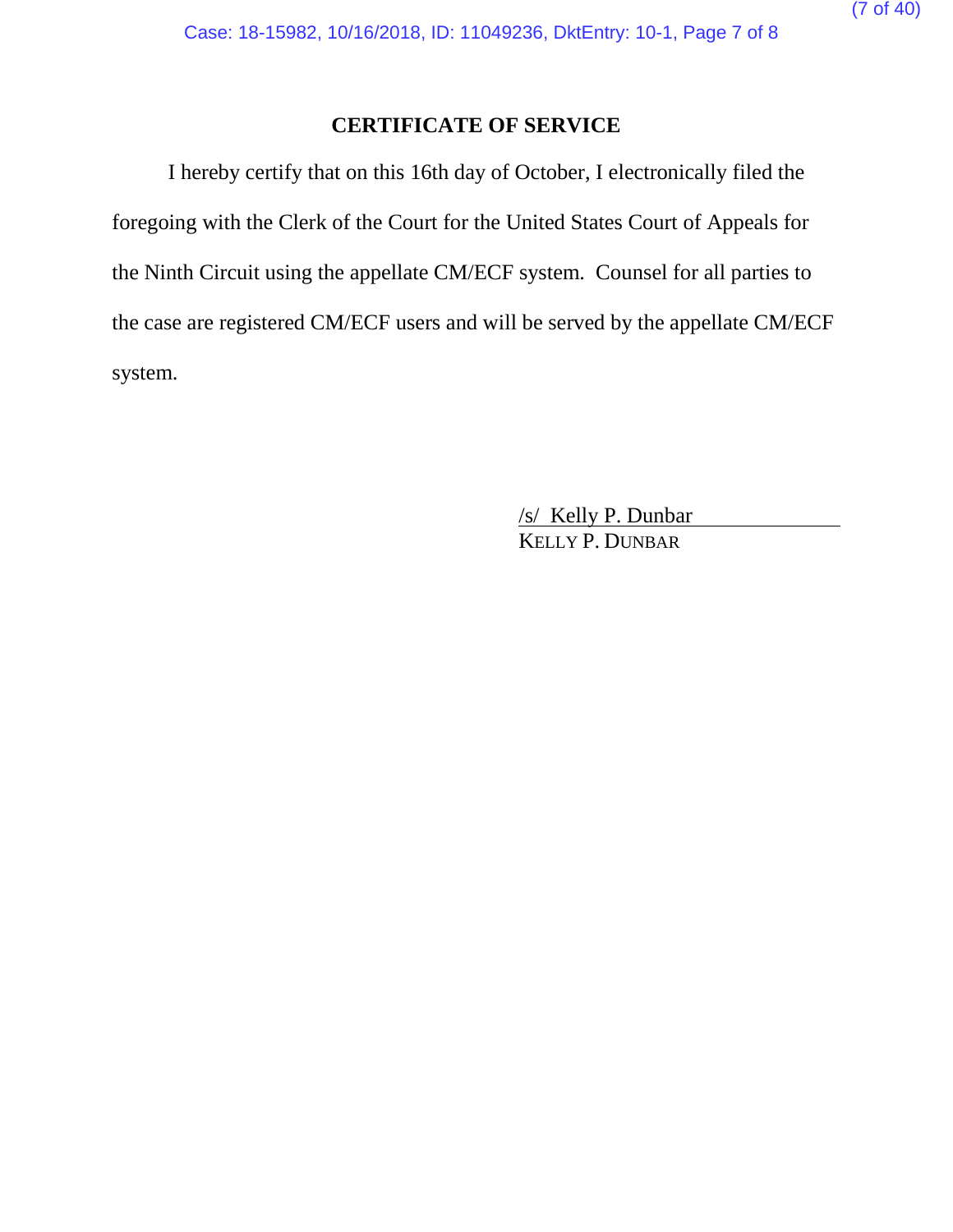## **CERTIFICATE OF SERVICE**

I hereby certify that on this 16th day of October, I electronically filed the foregoing with the Clerk of the Court for the United States Court of Appeals for the Ninth Circuit using the appellate CM/ECF system. Counsel for all parties to the case are registered CM/ECF users and will be served by the appellate CM/ECF system.

> /s/ Kelly P. Dunbar KELLY P. DUNBAR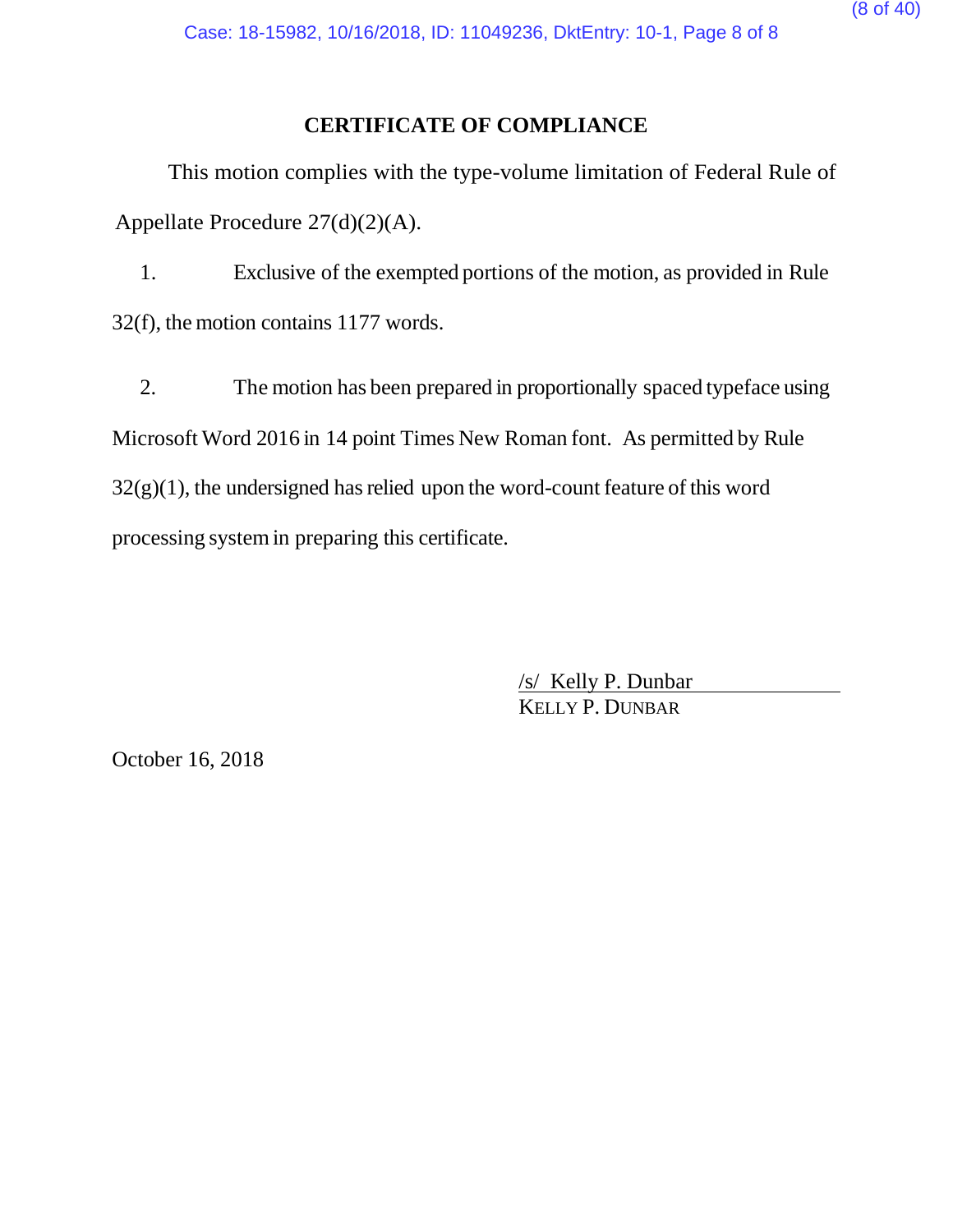#### **CERTIFICATE OF COMPLIANCE**

This motion complies with the type-volume limitation of Federal Rule of Appellate Procedure 27(d)(2)(A).

1. Exclusive of the exempted portions of the motion, as provided in Rule 32(f), the motion contains 1177 words.

2. The motion has been prepared in proportionally spaced typeface using Microsoft Word 2016 in 14 point Times New Roman font. As permitted by Rule  $32(g)(1)$ , the undersigned has relied upon the word-count feature of this word processing systemin preparing this certificate.

> /s/ Kelly P. Dunbar KELLY P. DUNBAR

October 16, 2018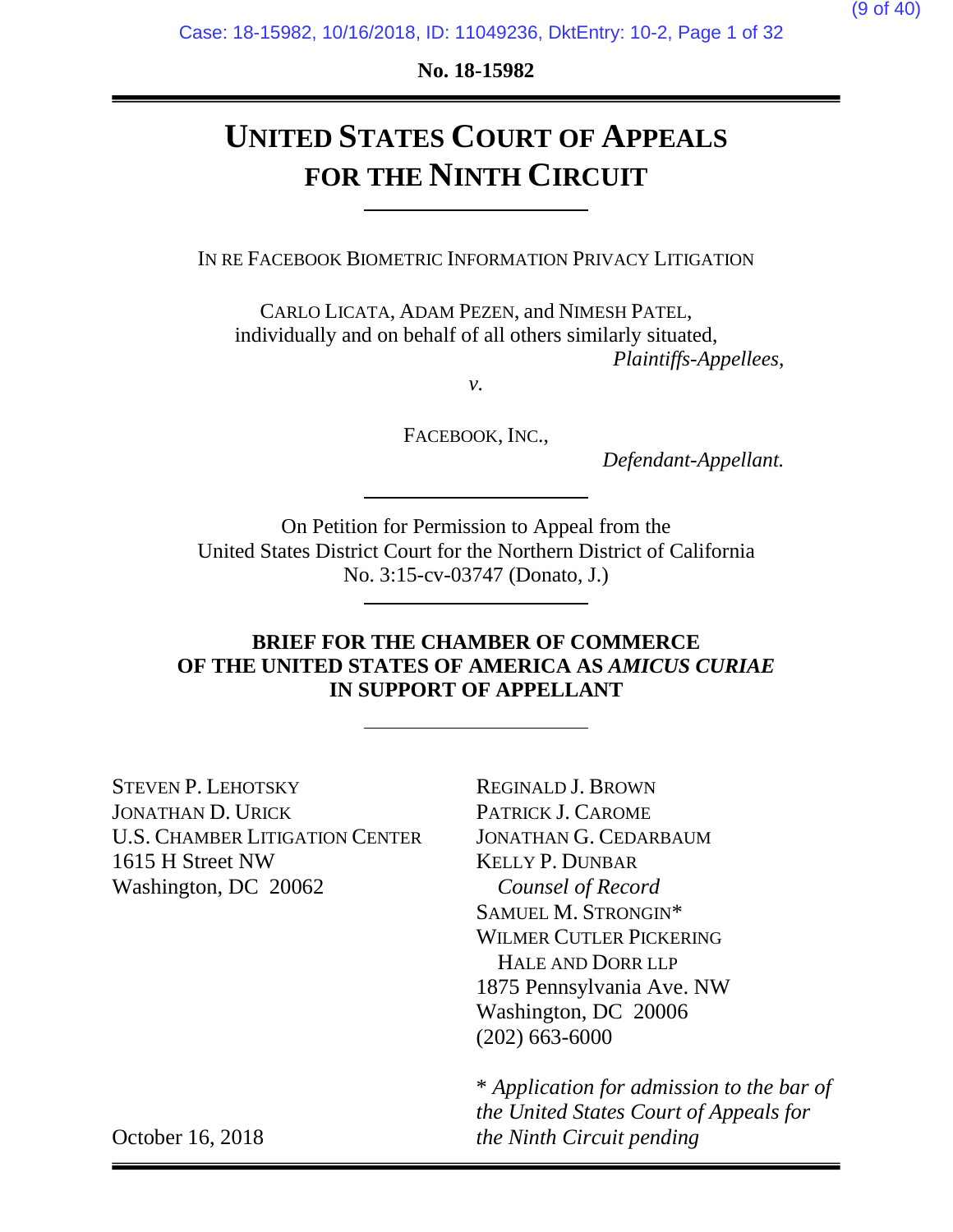**No. 18-15982**

# **UNITED STATES COURT OF APPEALS FOR THE NINTH CIRCUIT**

IN RE FACEBOOK BIOMETRIC INFORMATION PRIVACY LITIGATION

CARLO LICATA, ADAM PEZEN, and NIMESH PATEL, individually and on behalf of all others similarly situated, *Plaintiffs-Appellees*,

*v.*

FACEBOOK, INC.,

*Defendant-Appellant.*

On Petition for Permission to Appeal from the United States District Court for the Northern District of California No. 3:15-cv-03747 (Donato, J.)

### **BRIEF FOR THE CHAMBER OF COMMERCE OF THE UNITED STATES OF AMERICA AS** *AMICUS CURIAE*  **IN SUPPORT OF APPELLANT**

STEVEN P. LEHOTSKY JONATHAN D. URICK U.S. CHAMBER LITIGATION CENTER 1615 H Street NW Washington, DC 20062

REGINALD J. BROWN PATRICK J. CAROME JONATHAN G. CEDARBAUM KELLY P. DUNBAR *Counsel of Record* SAMUEL M. STRONGIN\* WILMER CUTLER PICKERING HALE AND DORR LLP 1875 Pennsylvania Ave. NW Washington, DC 20006 (202) 663-6000

\* *Application for admission to the bar of the United States Court of Appeals for the Ninth Circuit pending*

October 16, 2018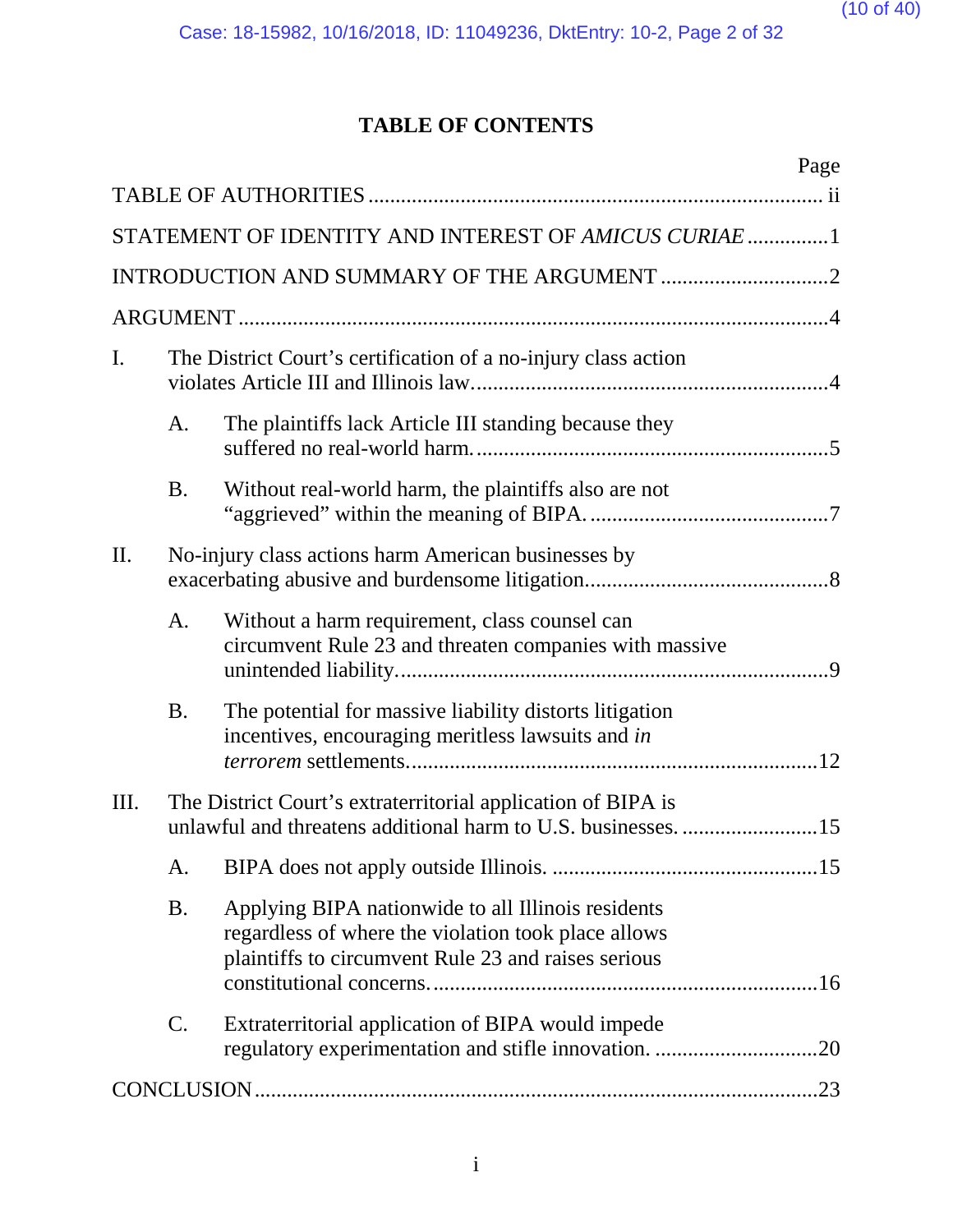# **TABLE OF CONTENTS**

|     |           | Page                                                                                                                                                             |
|-----|-----------|------------------------------------------------------------------------------------------------------------------------------------------------------------------|
|     |           |                                                                                                                                                                  |
|     |           | STATEMENT OF IDENTITY AND INTEREST OF AMICUS CURIAE  1                                                                                                           |
|     |           |                                                                                                                                                                  |
|     |           |                                                                                                                                                                  |
| I.  |           | The District Court's certification of a no-injury class action                                                                                                   |
|     | A.        | The plaintiffs lack Article III standing because they                                                                                                            |
|     | <b>B.</b> | Without real-world harm, the plaintiffs also are not                                                                                                             |
| II. |           | No-injury class actions harm American businesses by                                                                                                              |
|     | A.        | Without a harm requirement, class counsel can<br>circumvent Rule 23 and threaten companies with massive                                                          |
|     | <b>B.</b> | The potential for massive liability distorts litigation<br>incentives, encouraging meritless lawsuits and in                                                     |
| Ш.  |           | The District Court's extraterritorial application of BIPA is<br>unlawful and threatens additional harm to U.S. businesses. 15                                    |
|     | A.        |                                                                                                                                                                  |
|     | Β.        | Applying BIPA nationwide to all Illinois residents<br>regardless of where the violation took place allows<br>plaintiffs to circumvent Rule 23 and raises serious |
|     | C.        | Extraterritorial application of BIPA would impede                                                                                                                |
|     |           |                                                                                                                                                                  |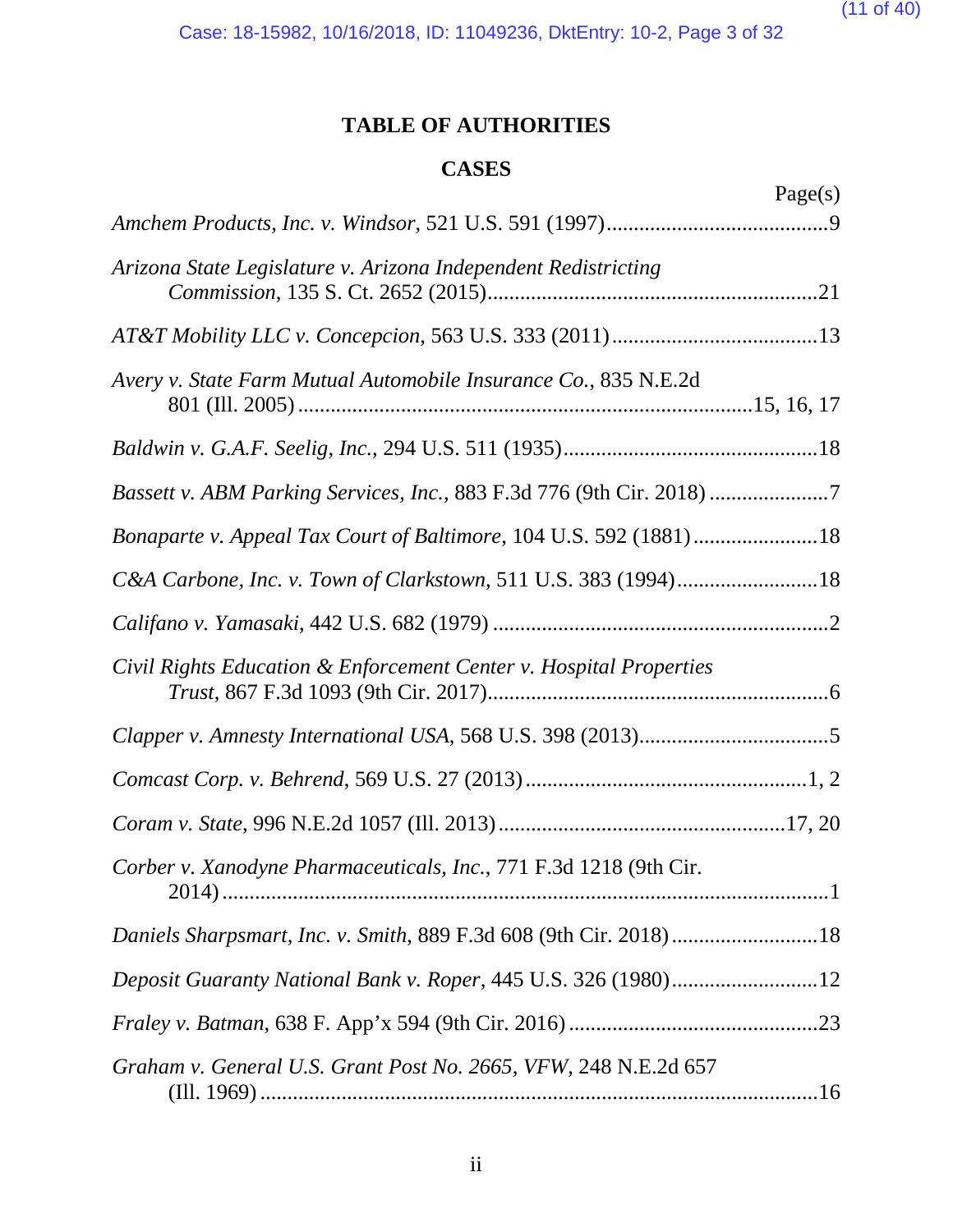(11 of 40)

Case: 18-15982, 10/16/2018, ID: 11049236, DktEntry: 10-2, Page 3 of 32

## **TABLE OF AUTHORITIES**

## **CASES**

<span id="page-10-0"></span>

|                                                                     | Page(s) |
|---------------------------------------------------------------------|---------|
|                                                                     |         |
| Arizona State Legislature v. Arizona Independent Redistricting      |         |
|                                                                     |         |
| Avery v. State Farm Mutual Automobile Insurance Co., 835 N.E.2d     |         |
|                                                                     |         |
| Bassett v. ABM Parking Services, Inc., 883 F.3d 776 (9th Cir. 2018) |         |
| Bonaparte v. Appeal Tax Court of Baltimore, 104 U.S. 592 (1881)18   |         |
| C&A Carbone, Inc. v. Town of Clarkstown, 511 U.S. 383 (1994)18      |         |
|                                                                     |         |
| Civil Rights Education & Enforcement Center v. Hospital Properties  |         |
|                                                                     |         |
|                                                                     |         |
|                                                                     |         |
| Corber v. Xanodyne Pharmaceuticals, Inc., 771 F.3d 1218 (9th Cir.   |         |
| Daniels Sharpsmart, Inc. v. Smith, 889 F.3d 608 (9th Cir. 2018)18   |         |
| Deposit Guaranty National Bank v. Roper, 445 U.S. 326 (1980)12      |         |
|                                                                     |         |
| Graham v. General U.S. Grant Post No. 2665, VFW, 248 N.E.2d 657     |         |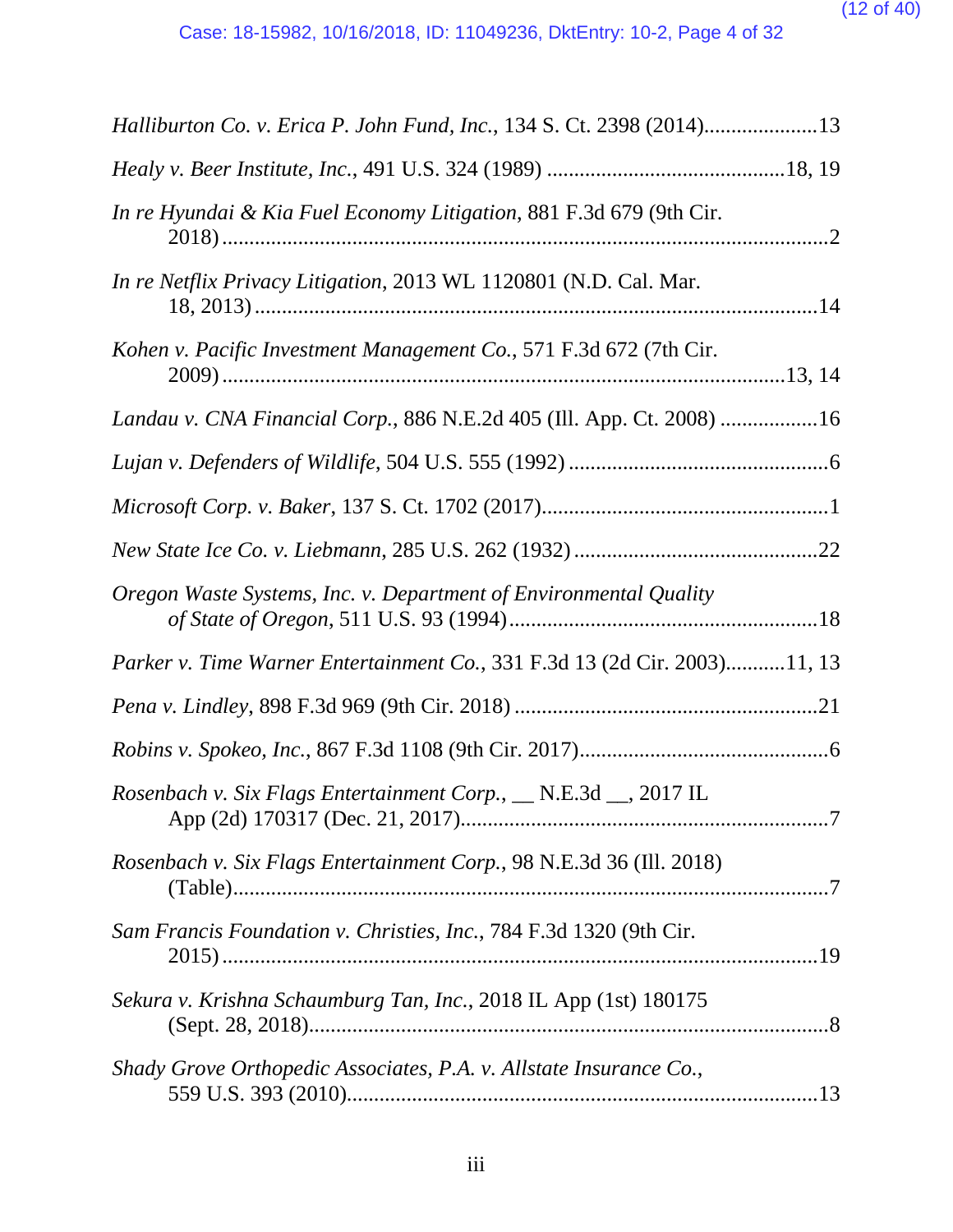| Halliburton Co. v. Erica P. John Fund, Inc., 134 S. Ct. 2398 (2014)13     |
|---------------------------------------------------------------------------|
|                                                                           |
| In re Hyundai & Kia Fuel Economy Litigation, 881 F.3d 679 (9th Cir.       |
| In re Netflix Privacy Litigation, 2013 WL 1120801 (N.D. Cal. Mar.         |
| Kohen v. Pacific Investment Management Co., 571 F.3d 672 (7th Cir.        |
| Landau v. CNA Financial Corp., 886 N.E.2d 405 (Ill. App. Ct. 2008) 16     |
|                                                                           |
|                                                                           |
|                                                                           |
| Oregon Waste Systems, Inc. v. Department of Environmental Quality         |
| Parker v. Time Warner Entertainment Co., 331 F.3d 13 (2d Cir. 2003)11, 13 |
|                                                                           |
|                                                                           |
| Rosenbach v. Six Flags Entertainment Corp., __ N.E.3d __, 2017 IL         |
| Rosenbach v. Six Flags Entertainment Corp., 98 N.E.3d 36 (Ill. 2018)      |
| Sam Francis Foundation v. Christies, Inc., 784 F.3d 1320 (9th Cir.        |
| Sekura v. Krishna Schaumburg Tan, Inc., 2018 IL App (1st) 180175          |
| Shady Grove Orthopedic Associates, P.A. v. Allstate Insurance Co.,        |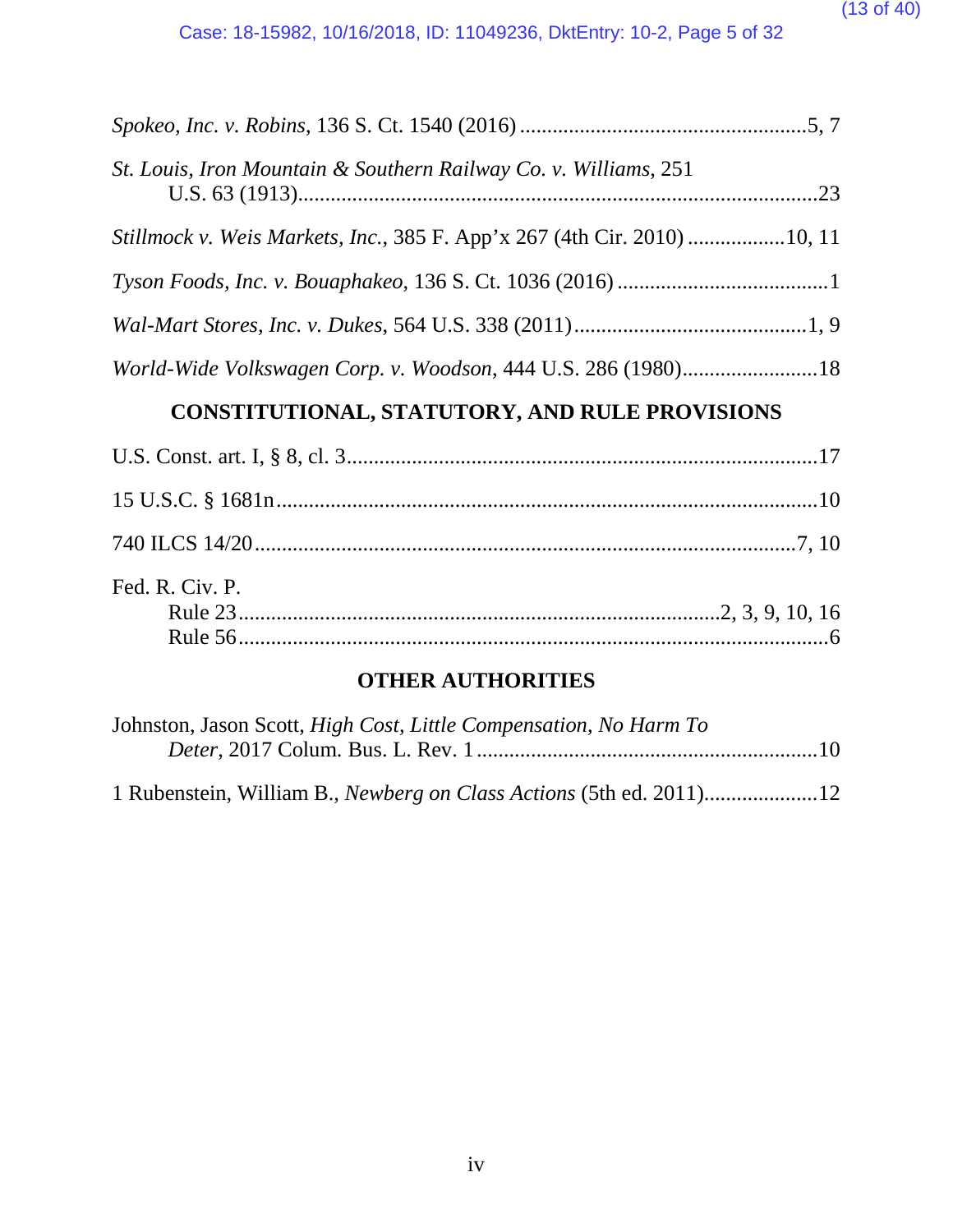#### (13 of 40)

| St. Louis, Iron Mountain & Southern Railway Co. v. Williams, 251                |
|---------------------------------------------------------------------------------|
| <i>Stillmock v. Weis Markets, Inc., 385 F. App'x 267 (4th Cir. 2010) 10, 11</i> |
|                                                                                 |
|                                                                                 |
| World-Wide Volkswagen Corp. v. Woodson, 444 U.S. 286 (1980)18                   |
| CONSTITUTIONAL, STATUTORY, AND RULE PROVISIONS                                  |
|                                                                                 |

| $\mathbf{U}$ . $\mathbf{U}$ , $\mathbf{U}$ $\mathbf{U}$ , $\mathbf{U}$ , $\mathbf{U}$ , $\mathbf{U}$ , $\mathbf{U}$ , $\mathbf{U}$ , $\mathbf{U}$ , $\mathbf{U}$ , $\mathbf{U}$ , $\mathbf{U}$ , $\mathbf{U}$ , $\mathbf{U}$ , $\mathbf{U}$ , $\mathbf{U}$ , $\mathbf{U}$ , $\mathbf{U}$ , $\mathbf{U}$ , $\mathbf{U}$ , $\mathbf{U}$ , $\math$ |  |
|-------------------------------------------------------------------------------------------------------------------------------------------------------------------------------------------------------------------------------------------------------------------------------------------------------------------------------------------------|--|
|                                                                                                                                                                                                                                                                                                                                                 |  |
|                                                                                                                                                                                                                                                                                                                                                 |  |
| Fed. R. Civ. P.                                                                                                                                                                                                                                                                                                                                 |  |
|                                                                                                                                                                                                                                                                                                                                                 |  |
|                                                                                                                                                                                                                                                                                                                                                 |  |
|                                                                                                                                                                                                                                                                                                                                                 |  |

## **OTHER AUTHORITIES**

| Johnston, Jason Scott, High Cost, Little Compensation, No Harm To |  |
|-------------------------------------------------------------------|--|
|                                                                   |  |
|                                                                   |  |
|                                                                   |  |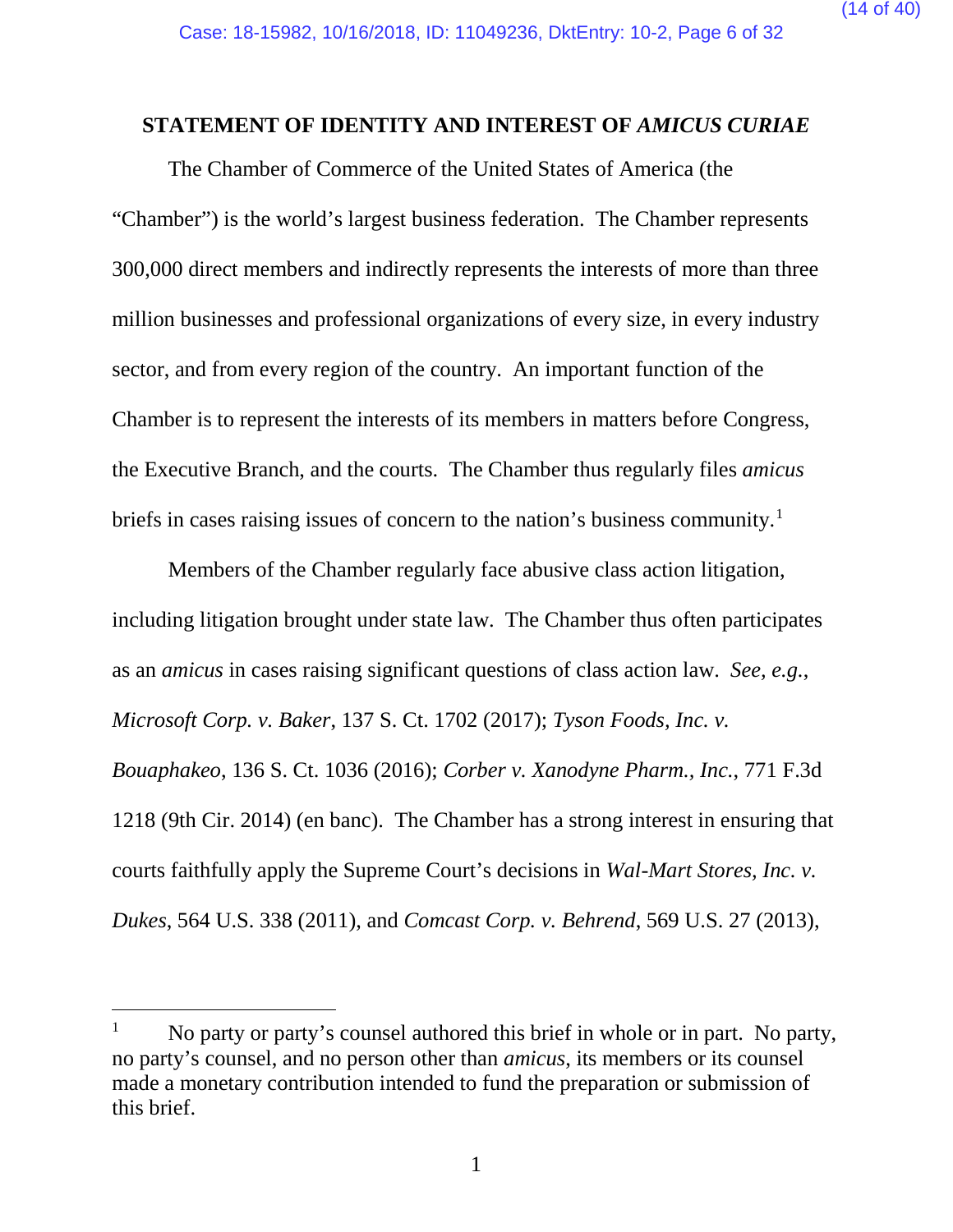#### <span id="page-13-0"></span>**STATEMENT OF IDENTITY AND INTEREST OF** *AMICUS CURIAE*

The Chamber of Commerce of the United States of America (the "Chamber") is the world's largest business federation. The Chamber represents 300,000 direct members and indirectly represents the interests of more than three million businesses and professional organizations of every size, in every industry sector, and from every region of the country. An important function of the Chamber is to represent the interests of its members in matters before Congress, the Executive Branch, and the courts. The Chamber thus regularly files *amicus* briefs in cases raising issues of concern to the nation's business community.<sup>[1](#page-13-1)</sup>

Members of the Chamber regularly face abusive class action litigation, including litigation brought under state law. The Chamber thus often participates as an *amicus* in cases raising significant questions of class action law. *See, e.g.*, *Microsoft Corp. v. Baker*, 137 S. Ct. 1702 (2017); *Tyson Foods, Inc. v. Bouaphakeo*, 136 S. Ct. 1036 (2016); *Corber v. Xanodyne Pharm., Inc.*, 771 F.3d 1218 (9th Cir. 2014) (en banc). The Chamber has a strong interest in ensuring that courts faithfully apply the Supreme Court's decisions in *Wal-Mart Stores, Inc. v. Dukes*, 564 U.S. 338 (2011), and *Comcast Corp. v. Behrend*, 569 U.S. 27 (2013),

<span id="page-13-1"></span><sup>&</sup>lt;sup>1</sup> No party or party's counsel authored this brief in whole or in part. No party, no party's counsel, and no person other than *amicus*, its members or its counsel made a monetary contribution intended to fund the preparation or submission of this brief.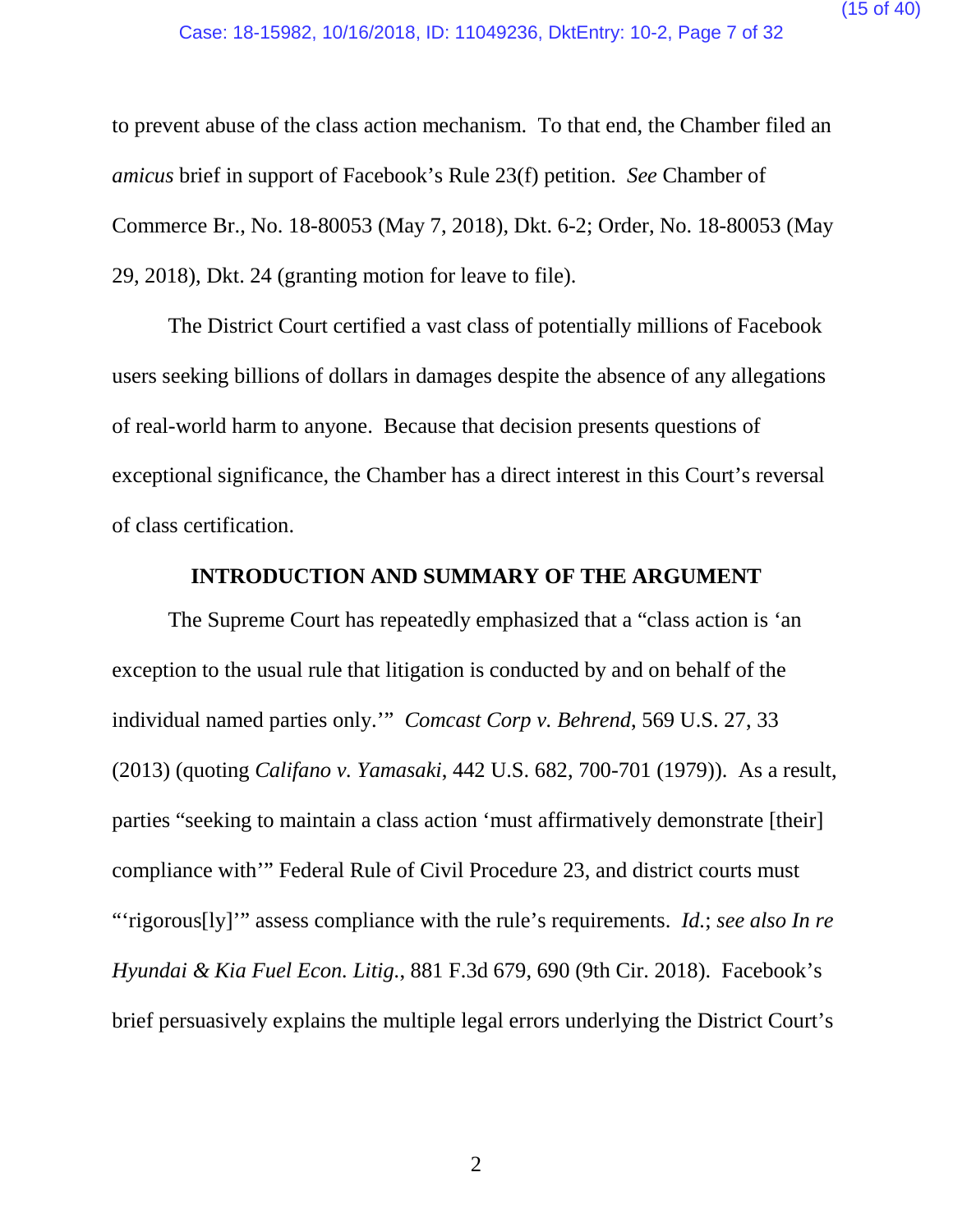to prevent abuse of the class action mechanism. To that end, the Chamber filed an *amicus* brief in support of Facebook's Rule 23(f) petition. *See* Chamber of Commerce Br., No. 18-80053 (May 7, 2018), Dkt. 6-2; Order, No. 18-80053 (May 29, 2018), Dkt. 24 (granting motion for leave to file).

The District Court certified a vast class of potentially millions of Facebook users seeking billions of dollars in damages despite the absence of any allegations of real-world harm to anyone. Because that decision presents questions of exceptional significance, the Chamber has a direct interest in this Court's reversal of class certification.

#### **INTRODUCTION AND SUMMARY OF THE ARGUMENT**

<span id="page-14-0"></span>The Supreme Court has repeatedly emphasized that a "class action is 'an exception to the usual rule that litigation is conducted by and on behalf of the individual named parties only.'" *Comcast Corp v. Behrend*, 569 U.S. 27, 33 (2013) (quoting *Califano v. Yamasaki*, 442 U.S. 682, 700-701 (1979)). As a result, parties "seeking to maintain a class action 'must affirmatively demonstrate [their] compliance with'" Federal Rule of Civil Procedure 23, and district courts must "'rigorous[ly]'" assess compliance with the rule's requirements. *Id.*; *see also In re Hyundai & Kia Fuel Econ. Litig.*, 881 F.3d 679, 690 (9th Cir. 2018). Facebook's brief persuasively explains the multiple legal errors underlying the District Court's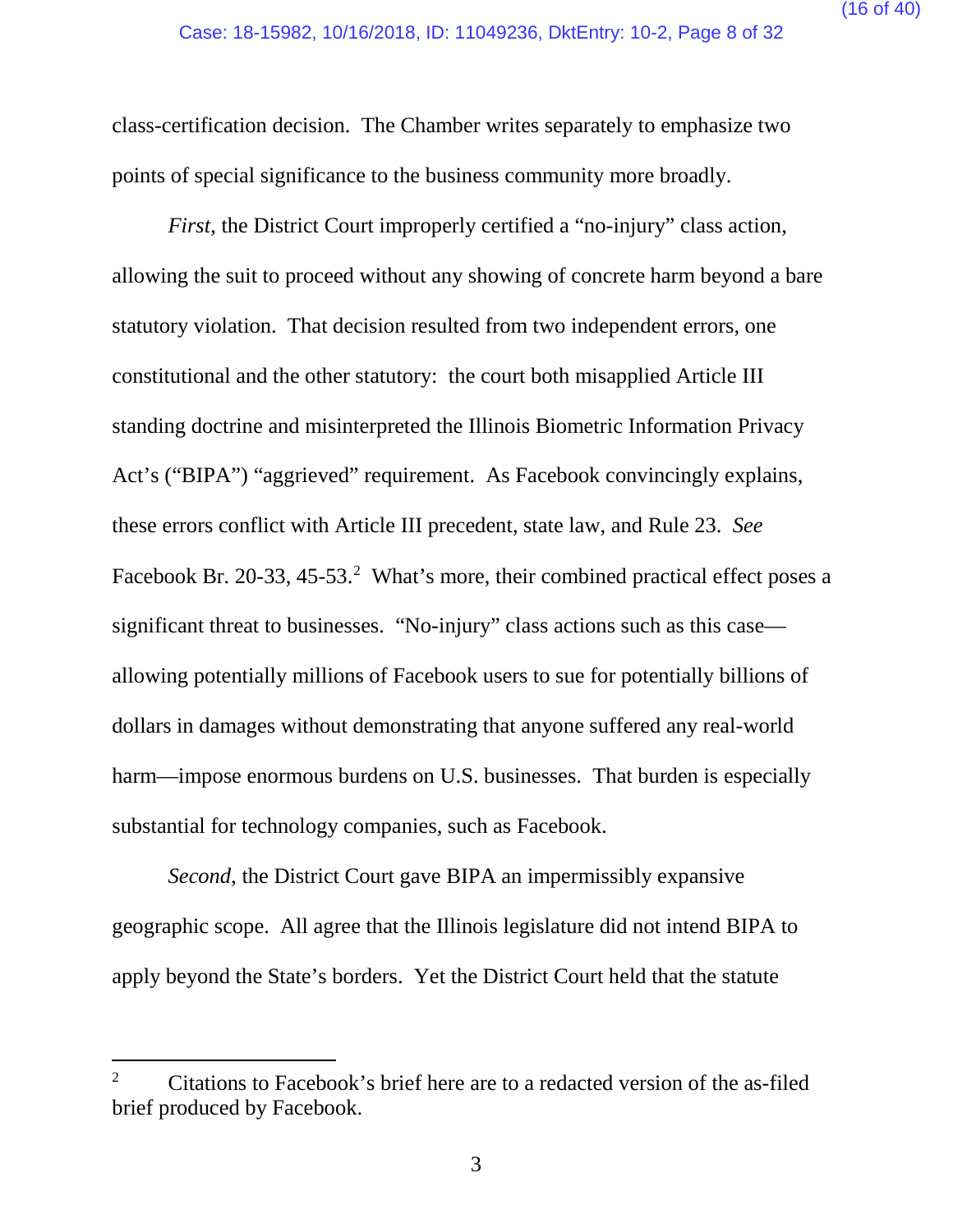class-certification decision. The Chamber writes separately to emphasize two points of special significance to the business community more broadly.

*First*, the District Court improperly certified a "no-injury" class action, allowing the suit to proceed without any showing of concrete harm beyond a bare statutory violation. That decision resulted from two independent errors, one constitutional and the other statutory: the court both misapplied Article III standing doctrine and misinterpreted the Illinois Biometric Information Privacy Act's ("BIPA") "aggrieved" requirement. As Facebook convincingly explains, these errors conflict with Article III precedent, state law, and Rule 23. *See*  Facebook Br. [2](#page-15-0)0-33, 45-53.<sup>2</sup> What's more, their combined practical effect poses a significant threat to businesses. "No-injury" class actions such as this case allowing potentially millions of Facebook users to sue for potentially billions of dollars in damages without demonstrating that anyone suffered any real-world harm—impose enormous burdens on U.S. businesses. That burden is especially substantial for technology companies, such as Facebook.

*Second*, the District Court gave BIPA an impermissibly expansive geographic scope. All agree that the Illinois legislature did not intend BIPA to apply beyond the State's borders. Yet the District Court held that the statute

<span id="page-15-0"></span><sup>&</sup>lt;sup>2</sup> Citations to Facebook's brief here are to a redacted version of the as-filed brief produced by Facebook.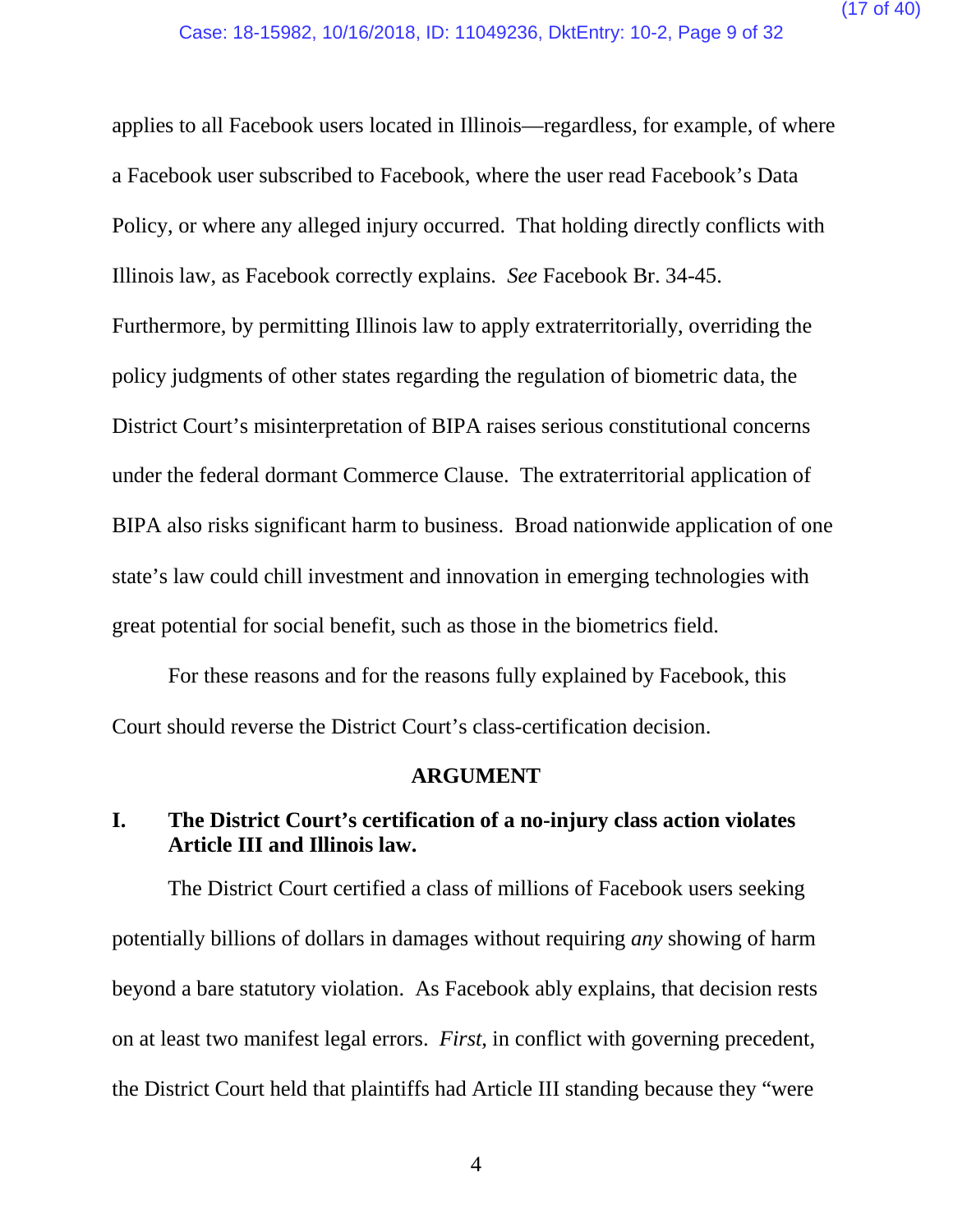applies to all Facebook users located in Illinois—regardless, for example, of where a Facebook user subscribed to Facebook, where the user read Facebook's Data Policy, or where any alleged injury occurred. That holding directly conflicts with Illinois law, as Facebook correctly explains. *See* Facebook Br. 34-45. Furthermore, by permitting Illinois law to apply extraterritorially, overriding the policy judgments of other states regarding the regulation of biometric data, the District Court's misinterpretation of BIPA raises serious constitutional concerns under the federal dormant Commerce Clause. The extraterritorial application of BIPA also risks significant harm to business. Broad nationwide application of one state's law could chill investment and innovation in emerging technologies with great potential for social benefit, such as those in the biometrics field.

For these reasons and for the reasons fully explained by Facebook, this Court should reverse the District Court's class-certification decision.

#### **ARGUMENT**

## <span id="page-16-1"></span><span id="page-16-0"></span>**I. The District Court's certification of a no-injury class action violates Article III and Illinois law.**

The District Court certified a class of millions of Facebook users seeking potentially billions of dollars in damages without requiring *any* showing of harm beyond a bare statutory violation. As Facebook ably explains, that decision rests on at least two manifest legal errors. *First*, in conflict with governing precedent, the District Court held that plaintiffs had Article III standing because they "were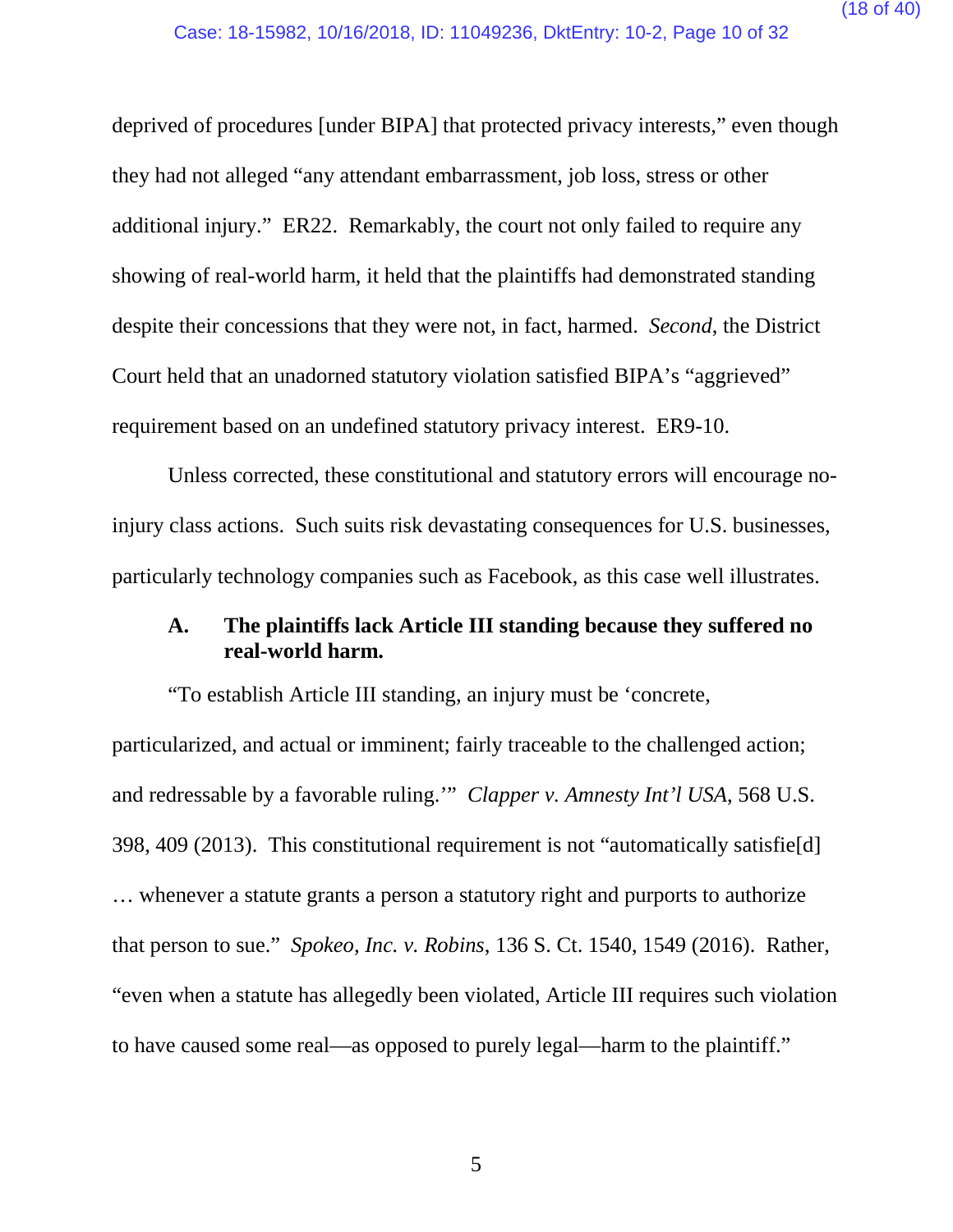deprived of procedures [under BIPA] that protected privacy interests," even though they had not alleged "any attendant embarrassment, job loss, stress or other additional injury." ER22. Remarkably, the court not only failed to require any showing of real-world harm, it held that the plaintiffs had demonstrated standing despite their concessions that they were not, in fact, harmed. *Second*, the District Court held that an unadorned statutory violation satisfied BIPA's "aggrieved" requirement based on an undefined statutory privacy interest. ER9-10.

Unless corrected, these constitutional and statutory errors will encourage noinjury class actions. Such suits risk devastating consequences for U.S. businesses, particularly technology companies such as Facebook, as this case well illustrates.

#### <span id="page-17-0"></span>**A. The plaintiffs lack Article III standing because they suffered no real-world harm.**

"To establish Article III standing, an injury must be 'concrete, particularized, and actual or imminent; fairly traceable to the challenged action; and redressable by a favorable ruling.'" *Clapper v. Amnesty Int'l USA*, 568 U.S. 398, 409 (2013). This constitutional requirement is not "automatically satisfie[d] … whenever a statute grants a person a statutory right and purports to authorize that person to sue." *Spokeo, Inc. v. Robins*, 136 S. Ct. 1540, 1549 (2016). Rather, "even when a statute has allegedly been violated, Article III requires such violation to have caused some real—as opposed to purely legal—harm to the plaintiff."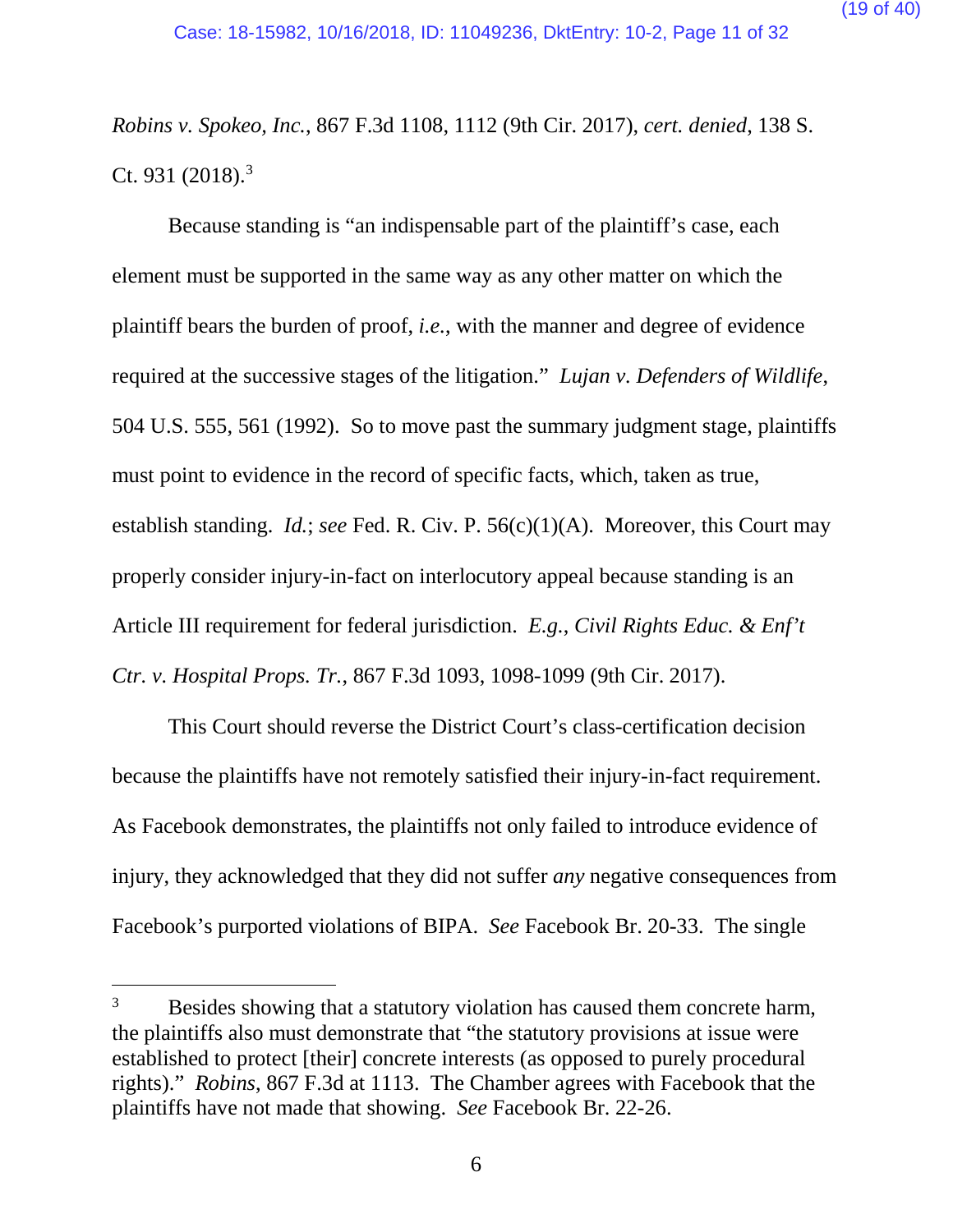*Robins v. Spokeo, Inc.*, 867 F.3d 1108, 1112 (9th Cir. 2017), *cert. denied*, 138 S. Ct. 9[3](#page-18-0)1  $(2018).$ <sup>3</sup>

Because standing is "an indispensable part of the plaintiff's case, each element must be supported in the same way as any other matter on which the plaintiff bears the burden of proof, *i.e.*, with the manner and degree of evidence required at the successive stages of the litigation." *Lujan v. Defenders of Wildlife*, 504 U.S. 555, 561 (1992). So to move past the summary judgment stage, plaintiffs must point to evidence in the record of specific facts, which, taken as true, establish standing. *Id.*; *see* Fed. R. Civ. P. 56(c)(1)(A). Moreover, this Court may properly consider injury-in-fact on interlocutory appeal because standing is an Article III requirement for federal jurisdiction. *E.g.*, *Civil Rights Educ. & Enf't Ctr. v. Hospital Props. Tr.*, 867 F.3d 1093, 1098-1099 (9th Cir. 2017).

This Court should reverse the District Court's class-certification decision because the plaintiffs have not remotely satisfied their injury-in-fact requirement. As Facebook demonstrates, the plaintiffs not only failed to introduce evidence of injury, they acknowledged that they did not suffer *any* negative consequences from Facebook's purported violations of BIPA. *See* Facebook Br. 20-33. The single

<span id="page-18-0"></span><sup>&</sup>lt;sup>3</sup> Besides showing that a statutory violation has caused them concrete harm, the plaintiffs also must demonstrate that "the statutory provisions at issue were established to protect [their] concrete interests (as opposed to purely procedural rights)." *Robins*, 867 F.3d at 1113. The Chamber agrees with Facebook that the plaintiffs have not made that showing. *See* Facebook Br. 22-26.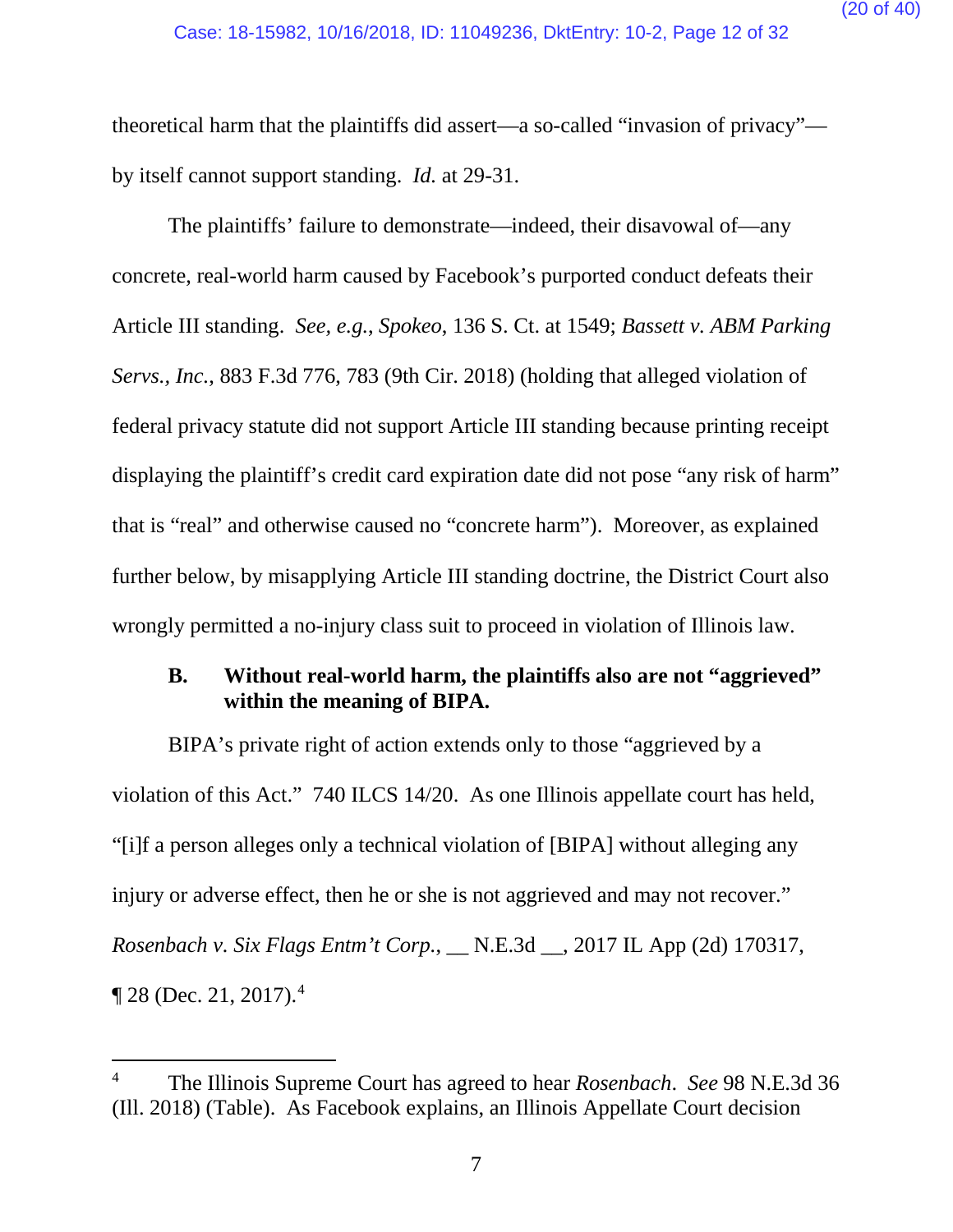theoretical harm that the plaintiffs did assert—a so-called "invasion of privacy" by itself cannot support standing. *Id.* at 29-31.

The plaintiffs' failure to demonstrate—indeed, their disavowal of—any concrete, real-world harm caused by Facebook's purported conduct defeats their Article III standing. *See, e.g.*, *Spokeo*, 136 S. Ct. at 1549; *Bassett v. ABM Parking Servs., Inc.*, 883 F.3d 776, 783 (9th Cir. 2018) (holding that alleged violation of federal privacy statute did not support Article III standing because printing receipt displaying the plaintiff's credit card expiration date did not pose "any risk of harm" that is "real" and otherwise caused no "concrete harm"). Moreover, as explained further below, by misapplying Article III standing doctrine, the District Court also wrongly permitted a no-injury class suit to proceed in violation of Illinois law.

#### <span id="page-19-0"></span>**B. Without real-world harm, the plaintiffs also are not "aggrieved" within the meaning of BIPA.**

BIPA's private right of action extends only to those "aggrieved by a violation of this Act." 740 ILCS 14/20. As one Illinois appellate court has held, "[i]f a person alleges only a technical violation of [BIPA] without alleging any injury or adverse effect, then he or she is not aggrieved and may not recover." *Rosenbach v. Six Flags Entm't Corp.*, \_\_ N.E.3d \_\_, 2017 IL App (2d) 170317,  $\P$  28 (Dec. 21, 2017).<sup>[4](#page-19-1)</sup>

<span id="page-19-1"></span> <sup>4</sup> The Illinois Supreme Court has agreed to hear *Rosenbach*. *See* 98 N.E.3d 36 (Ill. 2018) (Table). As Facebook explains, an Illinois Appellate Court decision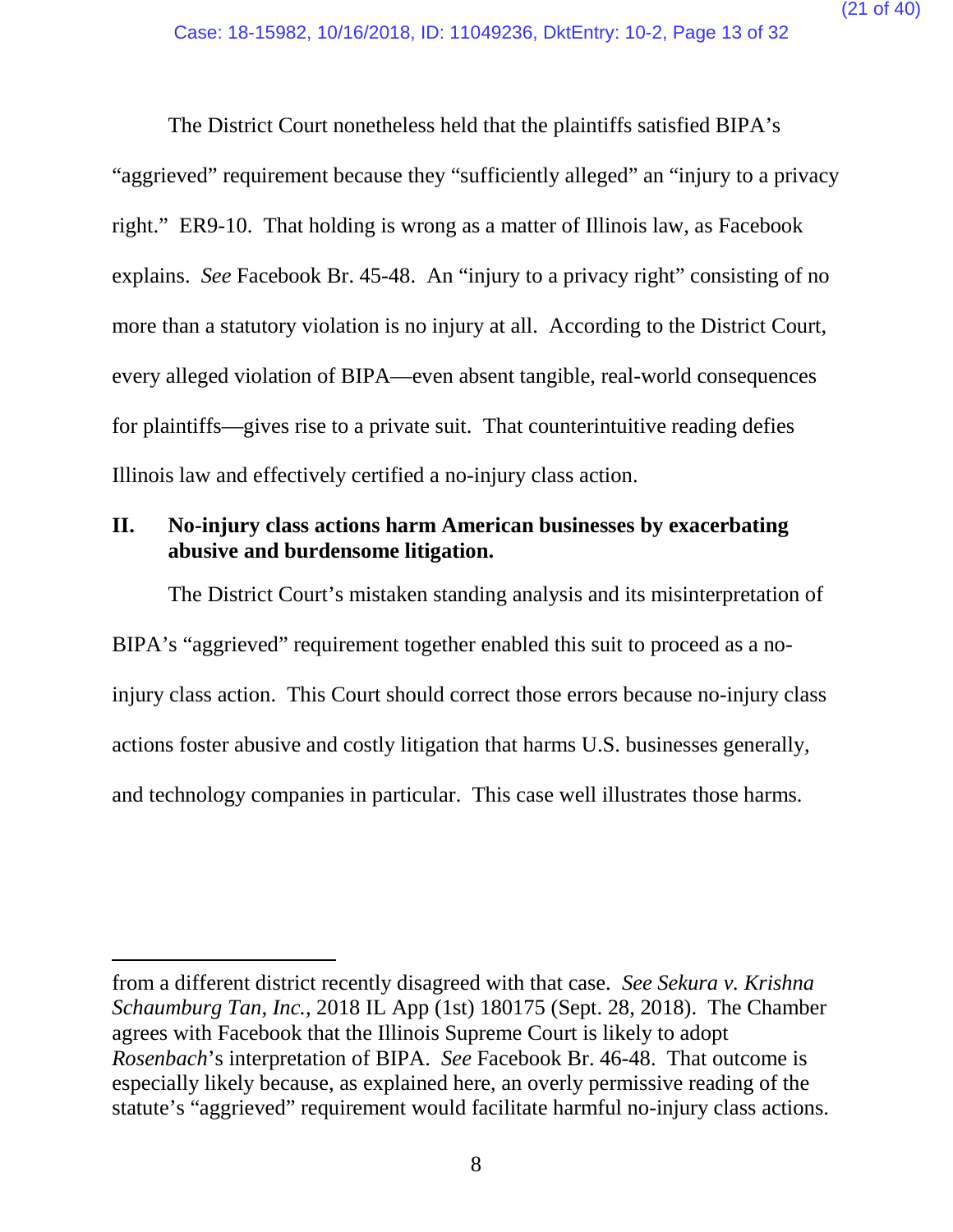The District Court nonetheless held that the plaintiffs satisfied BIPA's "aggrieved" requirement because they "sufficiently alleged" an "injury to a privacy right." ER9-10. That holding is wrong as a matter of Illinois law, as Facebook explains. *See* Facebook Br. 45-48. An "injury to a privacy right" consisting of no more than a statutory violation is no injury at all. According to the District Court, every alleged violation of BIPA—even absent tangible, real-world consequences for plaintiffs—gives rise to a private suit. That counterintuitive reading defies Illinois law and effectively certified a no-injury class action.

#### <span id="page-20-0"></span>**II. No-injury class actions harm American businesses by exacerbating abusive and burdensome litigation.**

The District Court's mistaken standing analysis and its misinterpretation of BIPA's "aggrieved" requirement together enabled this suit to proceed as a noinjury class action. This Court should correct those errors because no-injury class actions foster abusive and costly litigation that harms U.S. businesses generally, and technology companies in particular. This case well illustrates those harms.

 $\overline{a}$ 

from a different district recently disagreed with that case. *See Sekura v. Krishna Schaumburg Tan, Inc.*, 2018 IL App (1st) 180175 (Sept. 28, 2018). The Chamber agrees with Facebook that the Illinois Supreme Court is likely to adopt *Rosenbach*'s interpretation of BIPA. *See* Facebook Br. 46-48. That outcome is especially likely because, as explained here, an overly permissive reading of the statute's "aggrieved" requirement would facilitate harmful no-injury class actions.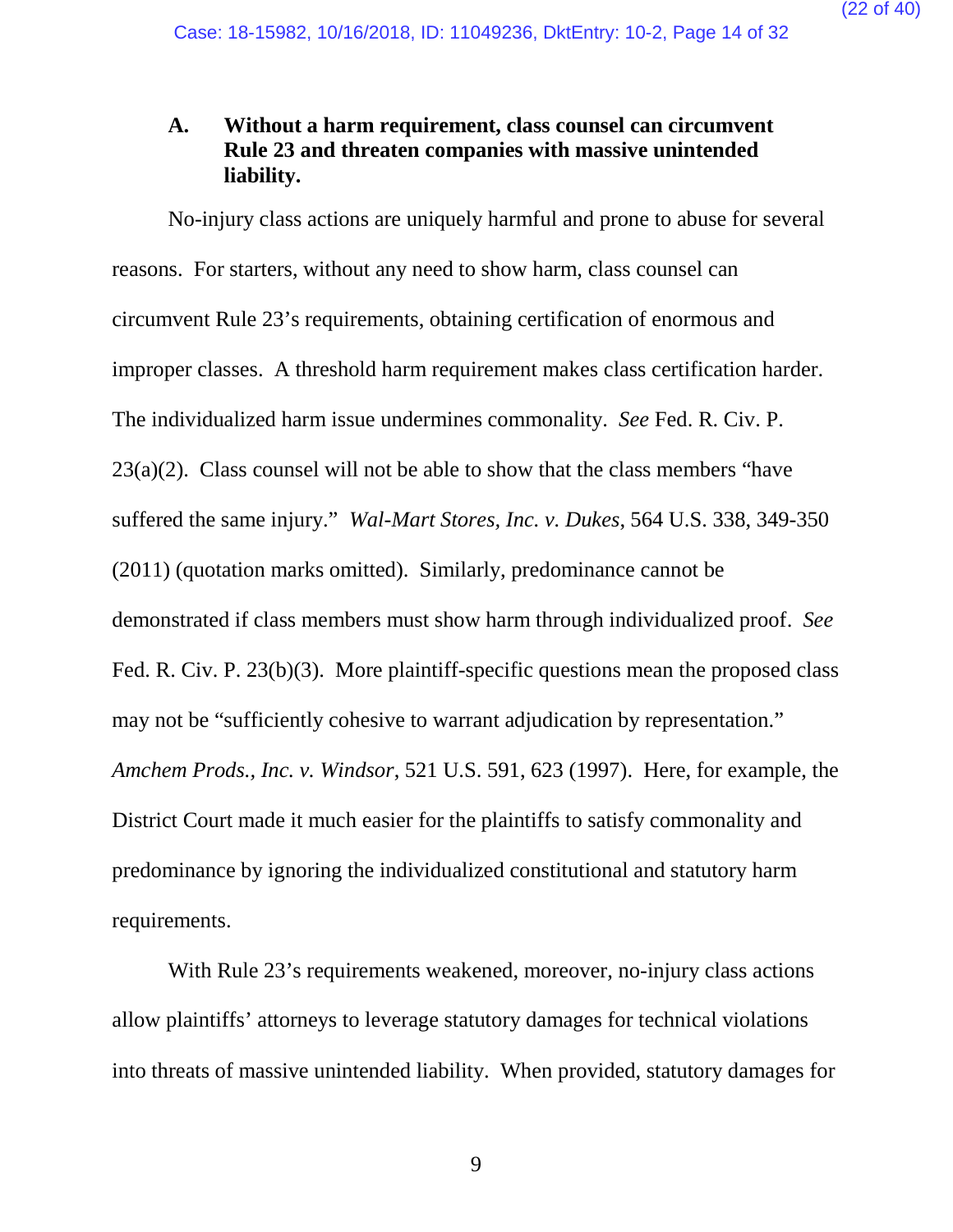#### <span id="page-21-0"></span>**A. Without a harm requirement, class counsel can circumvent Rule 23 and threaten companies with massive unintended liability.**

No-injury class actions are uniquely harmful and prone to abuse for several reasons. For starters, without any need to show harm, class counsel can circumvent Rule 23's requirements, obtaining certification of enormous and improper classes. A threshold harm requirement makes class certification harder. The individualized harm issue undermines commonality. *See* Fed. R. Civ. P.  $23(a)(2)$ . Class counsel will not be able to show that the class members "have" suffered the same injury." *Wal-Mart Stores, Inc. v. Dukes*, 564 U.S. 338, 349-350 (2011) (quotation marks omitted). Similarly, predominance cannot be demonstrated if class members must show harm through individualized proof. *See*  Fed. R. Civ. P. 23(b)(3). More plaintiff-specific questions mean the proposed class may not be "sufficiently cohesive to warrant adjudication by representation." *Amchem Prods., Inc. v. Windsor*, 521 U.S. 591, 623 (1997). Here, for example, the District Court made it much easier for the plaintiffs to satisfy commonality and predominance by ignoring the individualized constitutional and statutory harm requirements.

With Rule 23's requirements weakened, moreover, no-injury class actions allow plaintiffs' attorneys to leverage statutory damages for technical violations into threats of massive unintended liability. When provided, statutory damages for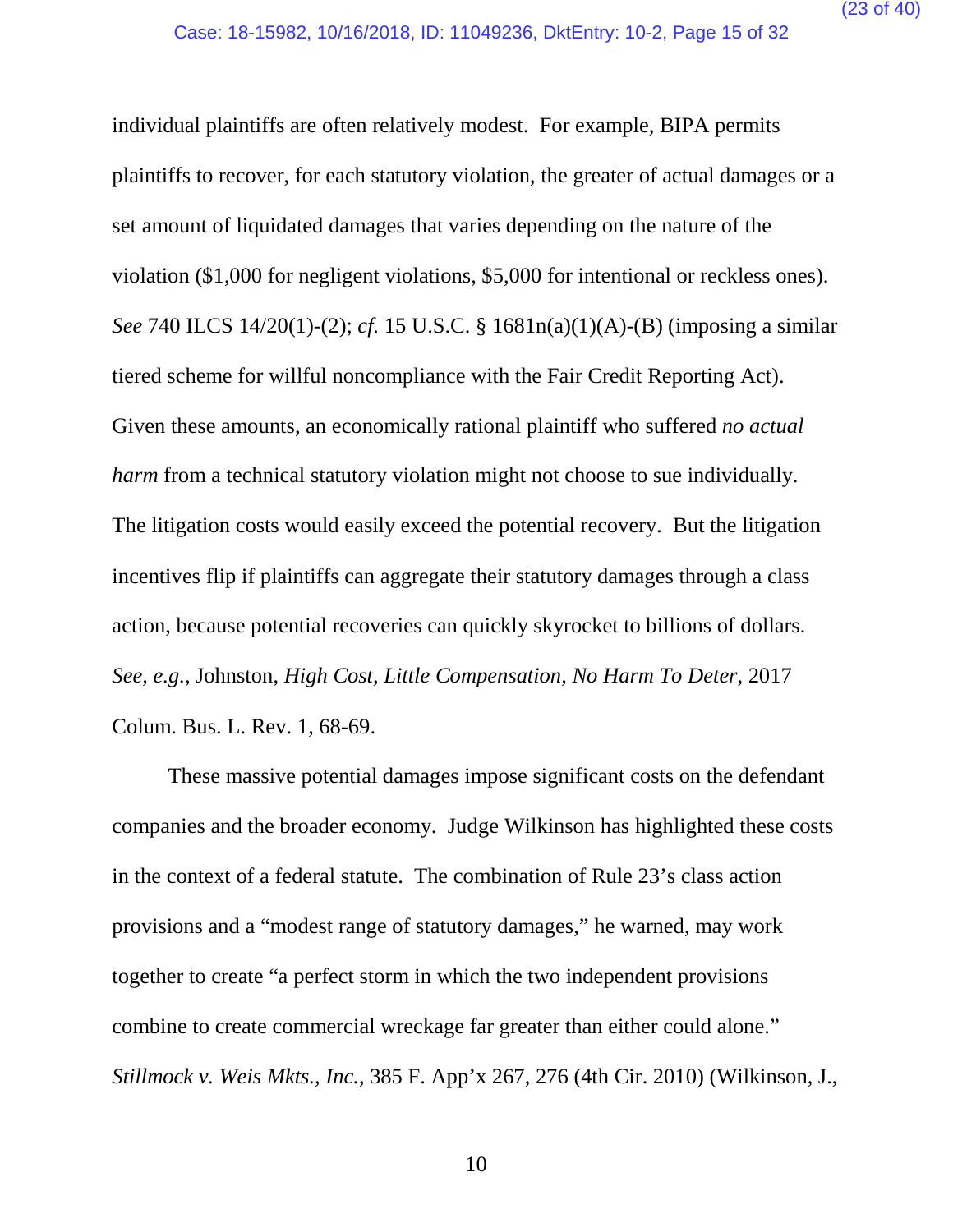individual plaintiffs are often relatively modest. For example, BIPA permits plaintiffs to recover, for each statutory violation, the greater of actual damages or a set amount of liquidated damages that varies depending on the nature of the violation (\$1,000 for negligent violations, \$5,000 for intentional or reckless ones). *See* 740 ILCS 14/20(1)-(2); *cf.* 15 U.S.C. § 1681n(a)(1)(A)-(B) (imposing a similar tiered scheme for willful noncompliance with the Fair Credit Reporting Act). Given these amounts, an economically rational plaintiff who suffered *no actual harm* from a technical statutory violation might not choose to sue individually. The litigation costs would easily exceed the potential recovery. But the litigation incentives flip if plaintiffs can aggregate their statutory damages through a class action, because potential recoveries can quickly skyrocket to billions of dollars. *See, e.g.*, Johnston, *High Cost, Little Compensation, No Harm To Deter*, 2017 Colum. Bus. L. Rev. 1, 68-69.

These massive potential damages impose significant costs on the defendant companies and the broader economy. Judge Wilkinson has highlighted these costs in the context of a federal statute. The combination of Rule 23's class action provisions and a "modest range of statutory damages," he warned, may work together to create "a perfect storm in which the two independent provisions combine to create commercial wreckage far greater than either could alone." *Stillmock v. Weis Mkts., Inc.*, 385 F. App'x 267, 276 (4th Cir. 2010) (Wilkinson, J.,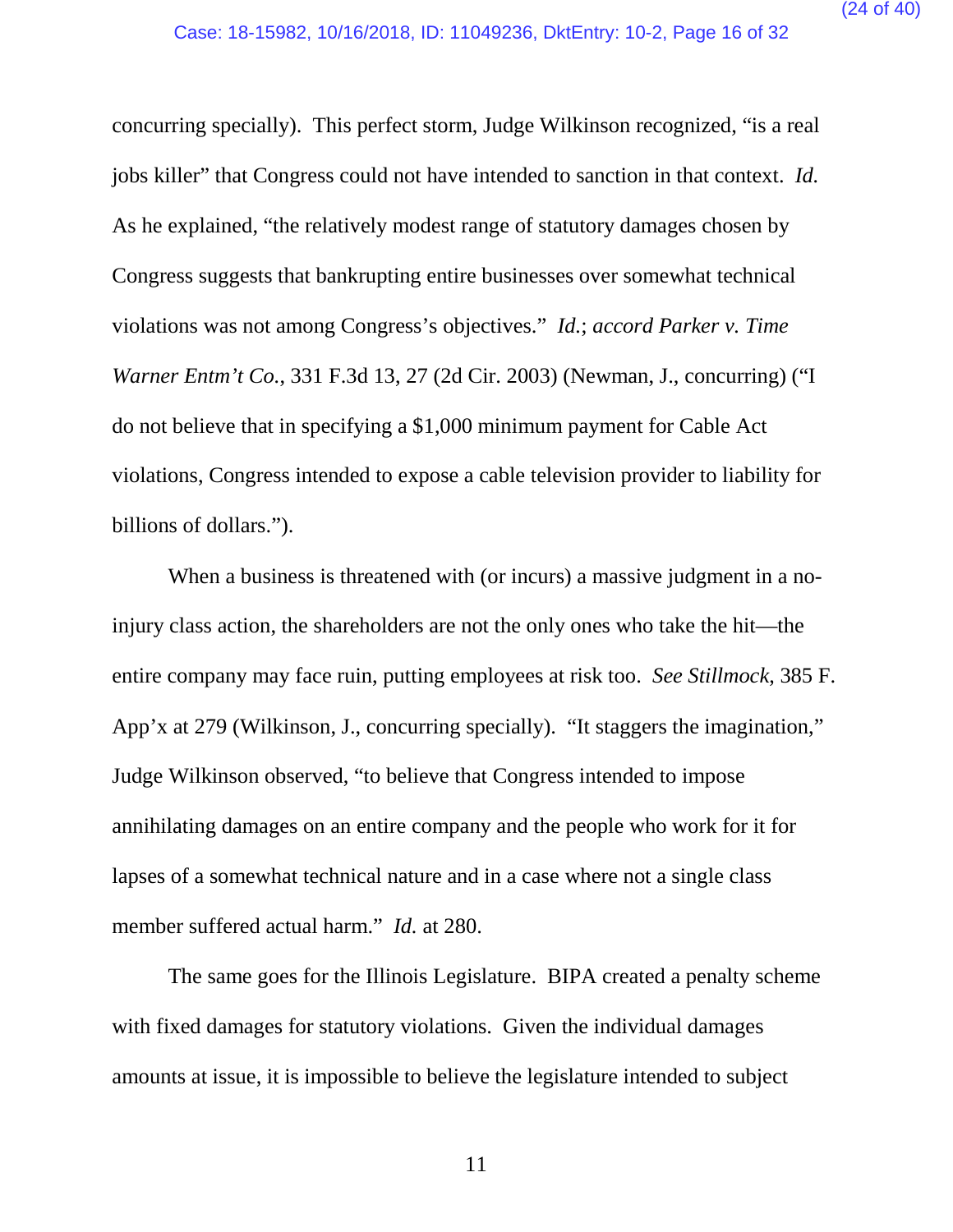concurring specially). This perfect storm, Judge Wilkinson recognized, "is a real jobs killer" that Congress could not have intended to sanction in that context. *Id.* As he explained, "the relatively modest range of statutory damages chosen by Congress suggests that bankrupting entire businesses over somewhat technical violations was not among Congress's objectives." *Id.*; *accord Parker v. Time Warner Entm't Co.*, 331 F.3d 13, 27 (2d Cir. 2003) (Newman, J., concurring) ("I do not believe that in specifying a \$1,000 minimum payment for Cable Act violations, Congress intended to expose a cable television provider to liability for billions of dollars.").

When a business is threatened with (or incurs) a massive judgment in a noinjury class action, the shareholders are not the only ones who take the hit—the entire company may face ruin, putting employees at risk too. *See Stillmock*, 385 F. App'x at 279 (Wilkinson, J., concurring specially). "It staggers the imagination," Judge Wilkinson observed, "to believe that Congress intended to impose annihilating damages on an entire company and the people who work for it for lapses of a somewhat technical nature and in a case where not a single class member suffered actual harm." *Id.* at 280.

The same goes for the Illinois Legislature. BIPA created a penalty scheme with fixed damages for statutory violations. Given the individual damages amounts at issue, it is impossible to believe the legislature intended to subject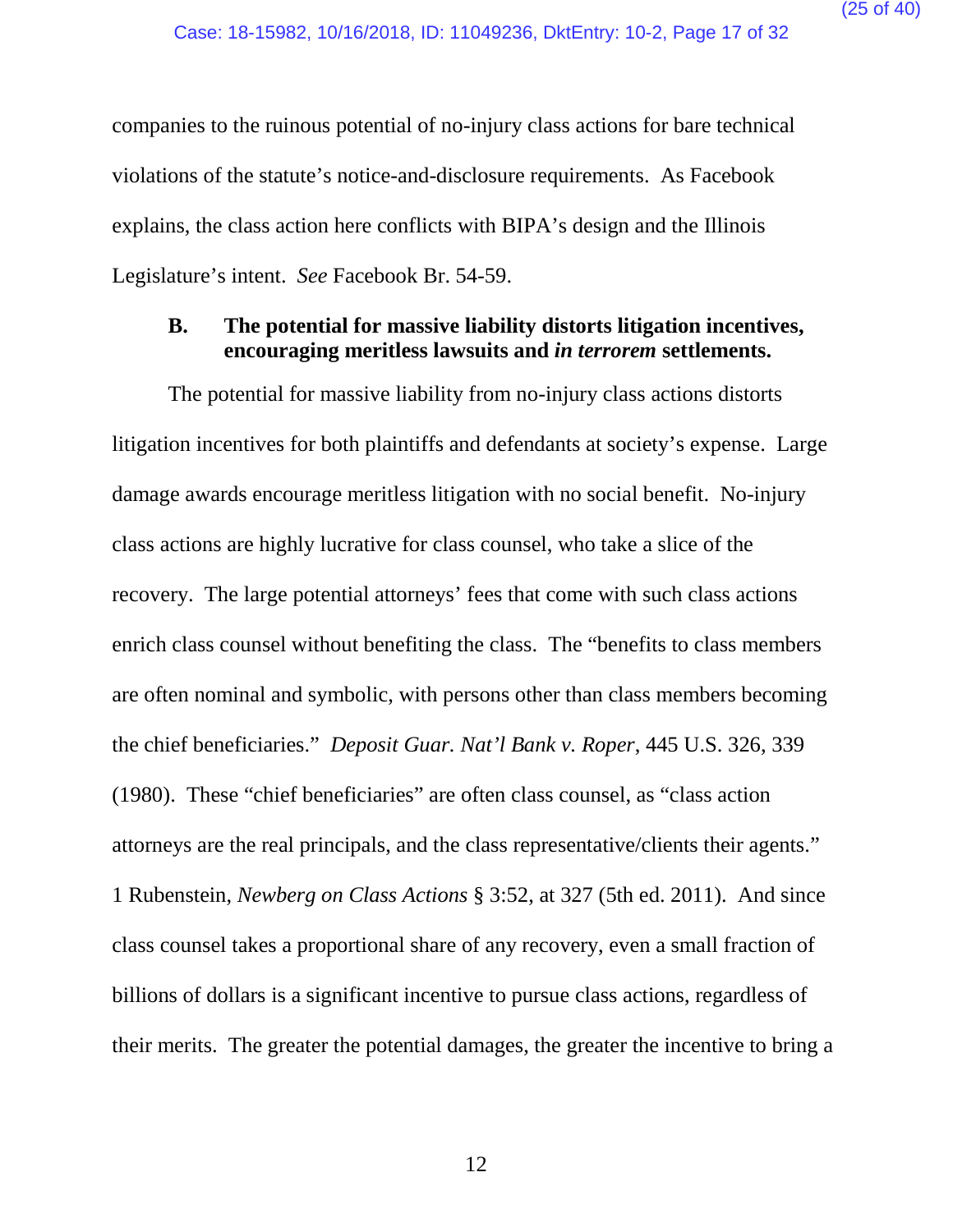companies to the ruinous potential of no-injury class actions for bare technical violations of the statute's notice-and-disclosure requirements. As Facebook explains, the class action here conflicts with BIPA's design and the Illinois Legislature's intent. *See* Facebook Br. 54-59.

#### <span id="page-24-0"></span>**B. The potential for massive liability distorts litigation incentives, encouraging meritless lawsuits and** *in terrorem* **settlements.**

The potential for massive liability from no-injury class actions distorts litigation incentives for both plaintiffs and defendants at society's expense. Large damage awards encourage meritless litigation with no social benefit. No-injury class actions are highly lucrative for class counsel, who take a slice of the recovery. The large potential attorneys' fees that come with such class actions enrich class counsel without benefiting the class. The "benefits to class members are often nominal and symbolic, with persons other than class members becoming the chief beneficiaries." *Deposit Guar. Nat'l Bank v. Roper*, 445 U.S. 326, 339 (1980). These "chief beneficiaries" are often class counsel, as "class action attorneys are the real principals, and the class representative/clients their agents." 1 Rubenstein, *Newberg on Class Actions* § 3:52, at 327 (5th ed. 2011). And since class counsel takes a proportional share of any recovery, even a small fraction of billions of dollars is a significant incentive to pursue class actions, regardless of their merits. The greater the potential damages, the greater the incentive to bring a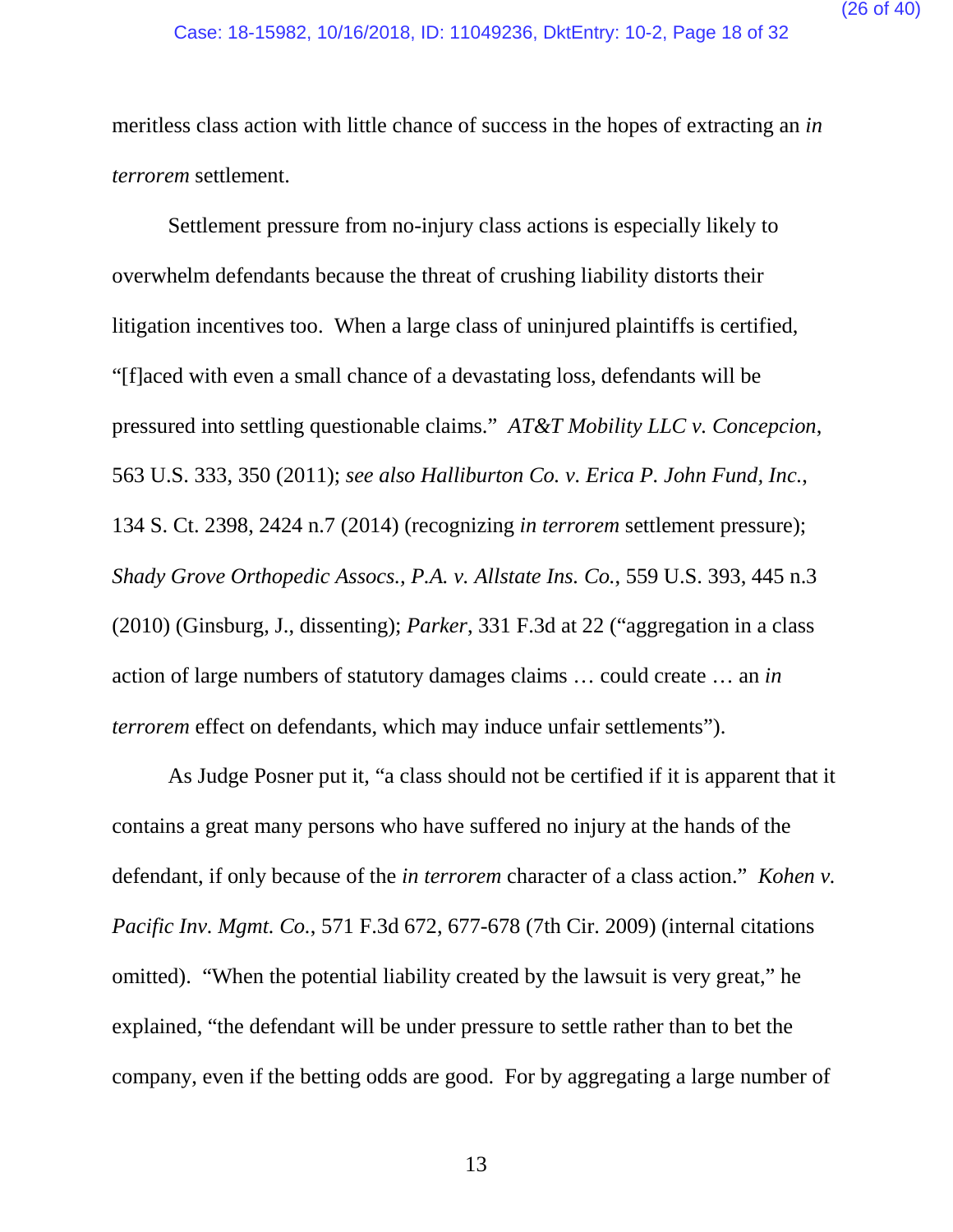meritless class action with little chance of success in the hopes of extracting an *in terrorem* settlement.

Settlement pressure from no-injury class actions is especially likely to overwhelm defendants because the threat of crushing liability distorts their litigation incentives too. When a large class of uninjured plaintiffs is certified, "[f]aced with even a small chance of a devastating loss, defendants will be pressured into settling questionable claims." *AT&T Mobility LLC v. Concepcion*, 563 U.S. 333, 350 (2011); *see also Halliburton Co. v. Erica P. John Fund, Inc.*, 134 S. Ct. 2398, 2424 n.7 (2014) (recognizing *in terrorem* settlement pressure); *Shady Grove Orthopedic Assocs., P.A. v. Allstate Ins. Co.*, 559 U.S. 393, 445 n.3 (2010) (Ginsburg, J., dissenting); *Parker*, 331 F.3d at 22 ("aggregation in a class action of large numbers of statutory damages claims … could create … an *in terrorem* effect on defendants, which may induce unfair settlements").

As Judge Posner put it, "a class should not be certified if it is apparent that it contains a great many persons who have suffered no injury at the hands of the defendant, if only because of the *in terrorem* character of a class action." *Kohen v. Pacific Inv. Mgmt. Co.*, 571 F.3d 672, 677-678 (7th Cir. 2009) (internal citations omitted). "When the potential liability created by the lawsuit is very great," he explained, "the defendant will be under pressure to settle rather than to bet the company, even if the betting odds are good. For by aggregating a large number of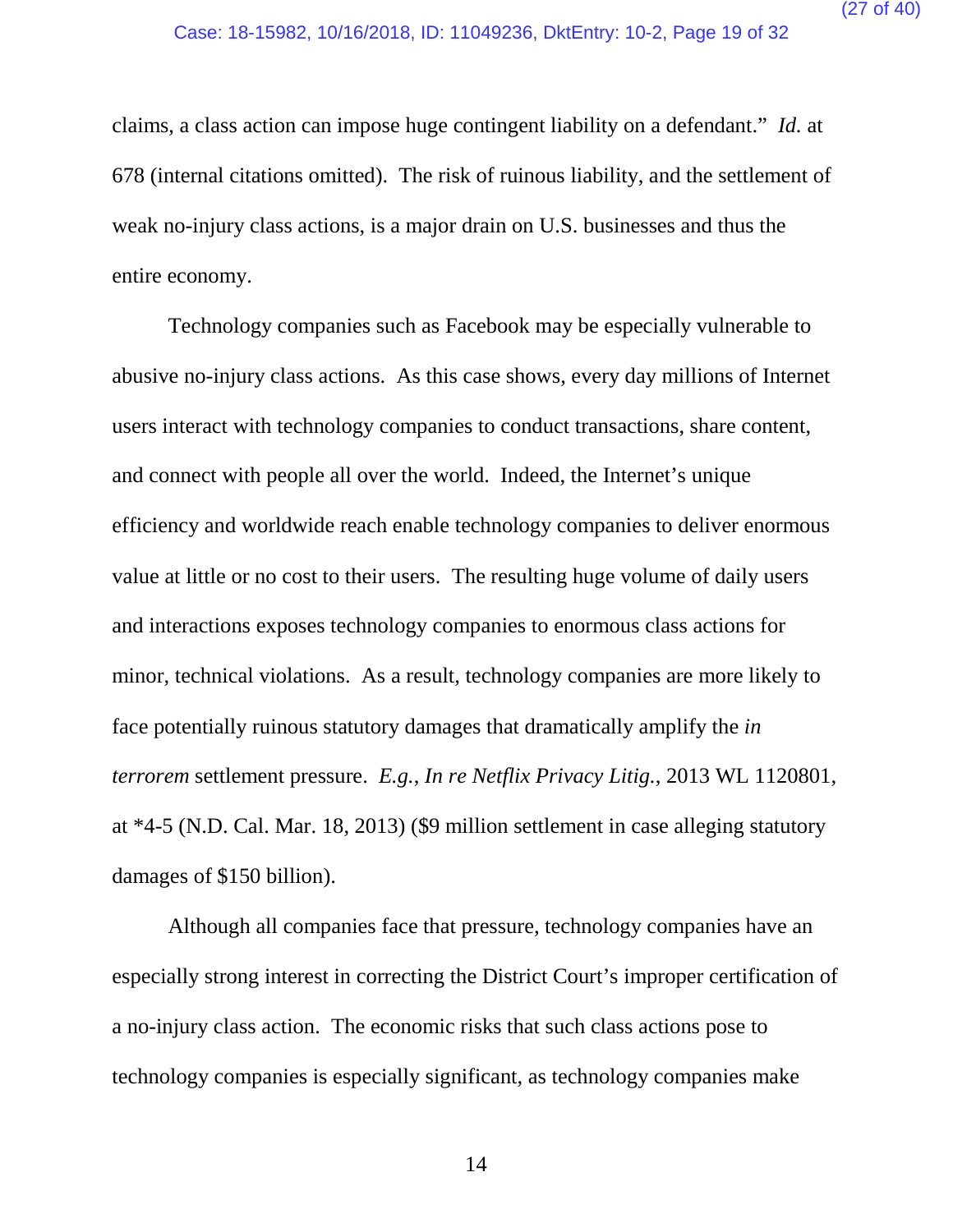claims, a class action can impose huge contingent liability on a defendant." *Id.* at 678 (internal citations omitted). The risk of ruinous liability, and the settlement of weak no-injury class actions, is a major drain on U.S. businesses and thus the entire economy.

Technology companies such as Facebook may be especially vulnerable to abusive no-injury class actions. As this case shows, every day millions of Internet users interact with technology companies to conduct transactions, share content, and connect with people all over the world. Indeed, the Internet's unique efficiency and worldwide reach enable technology companies to deliver enormous value at little or no cost to their users. The resulting huge volume of daily users and interactions exposes technology companies to enormous class actions for minor, technical violations. As a result, technology companies are more likely to face potentially ruinous statutory damages that dramatically amplify the *in terrorem* settlement pressure. *E.g.*, *In re Netflix Privacy Litig.*, 2013 WL 1120801, at \*4-5 (N.D. Cal. Mar. 18, 2013) (\$9 million settlement in case alleging statutory damages of \$150 billion).

Although all companies face that pressure, technology companies have an especially strong interest in correcting the District Court's improper certification of a no-injury class action. The economic risks that such class actions pose to technology companies is especially significant, as technology companies make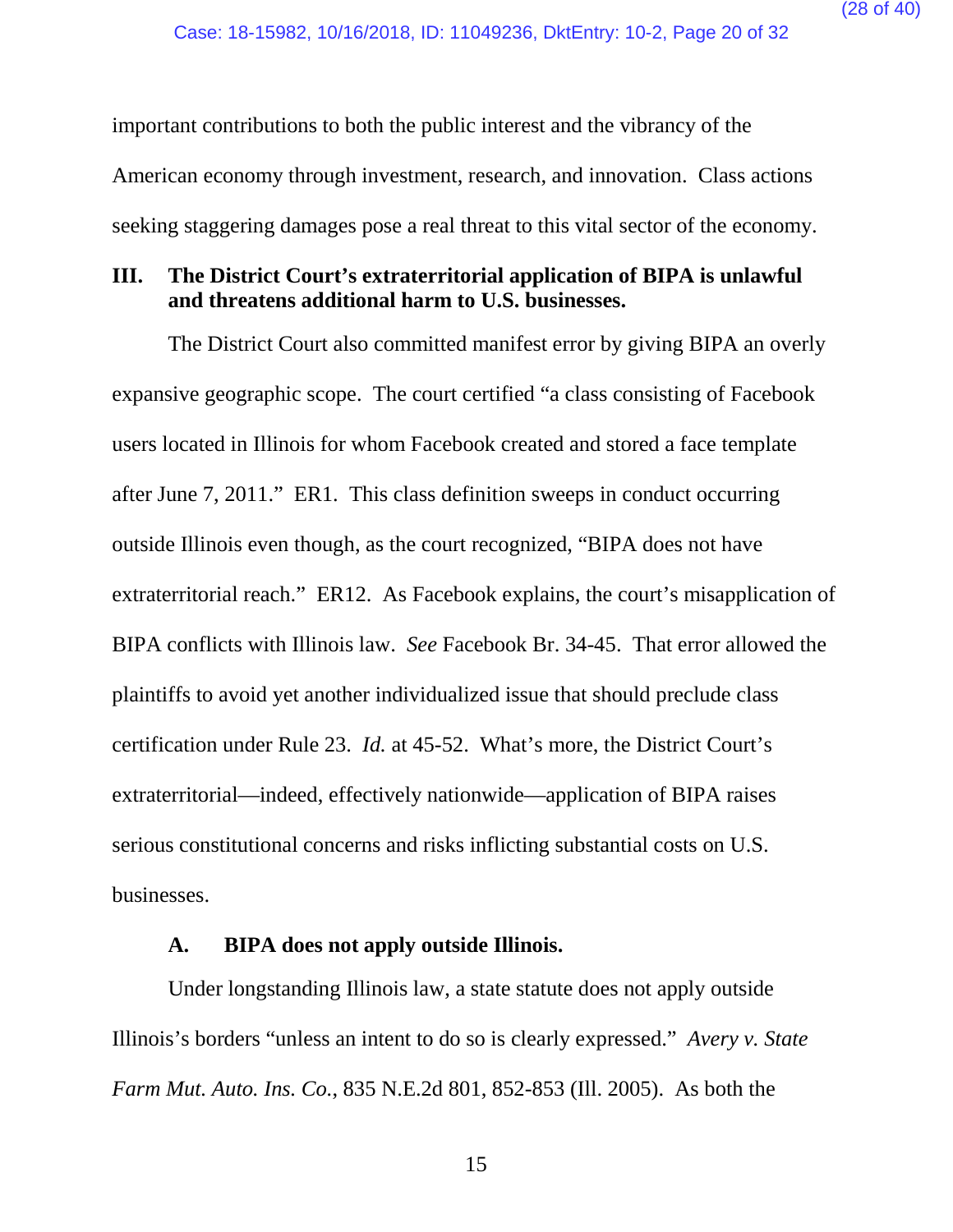important contributions to both the public interest and the vibrancy of the American economy through investment, research, and innovation. Class actions seeking staggering damages pose a real threat to this vital sector of the economy.

#### <span id="page-27-0"></span>**III. The District Court's extraterritorial application of BIPA is unlawful and threatens additional harm to U.S. businesses.**

The District Court also committed manifest error by giving BIPA an overly expansive geographic scope. The court certified "a class consisting of Facebook users located in Illinois for whom Facebook created and stored a face template after June 7, 2011." ER1. This class definition sweeps in conduct occurring outside Illinois even though, as the court recognized, "BIPA does not have extraterritorial reach." ER12. As Facebook explains, the court's misapplication of BIPA conflicts with Illinois law. *See* Facebook Br. 34-45. That error allowed the plaintiffs to avoid yet another individualized issue that should preclude class certification under Rule 23. *Id.* at 45-52.What's more, the District Court's extraterritorial—indeed, effectively nationwide—application of BIPA raises serious constitutional concerns and risks inflicting substantial costs on U.S. businesses.

#### **A. BIPA does not apply outside Illinois.**

<span id="page-27-1"></span>Under longstanding Illinois law, a state statute does not apply outside Illinois's borders "unless an intent to do so is clearly expressed." *Avery v. State Farm Mut. Auto. Ins. Co.*, 835 N.E.2d 801, 852-853 (Ill. 2005). As both the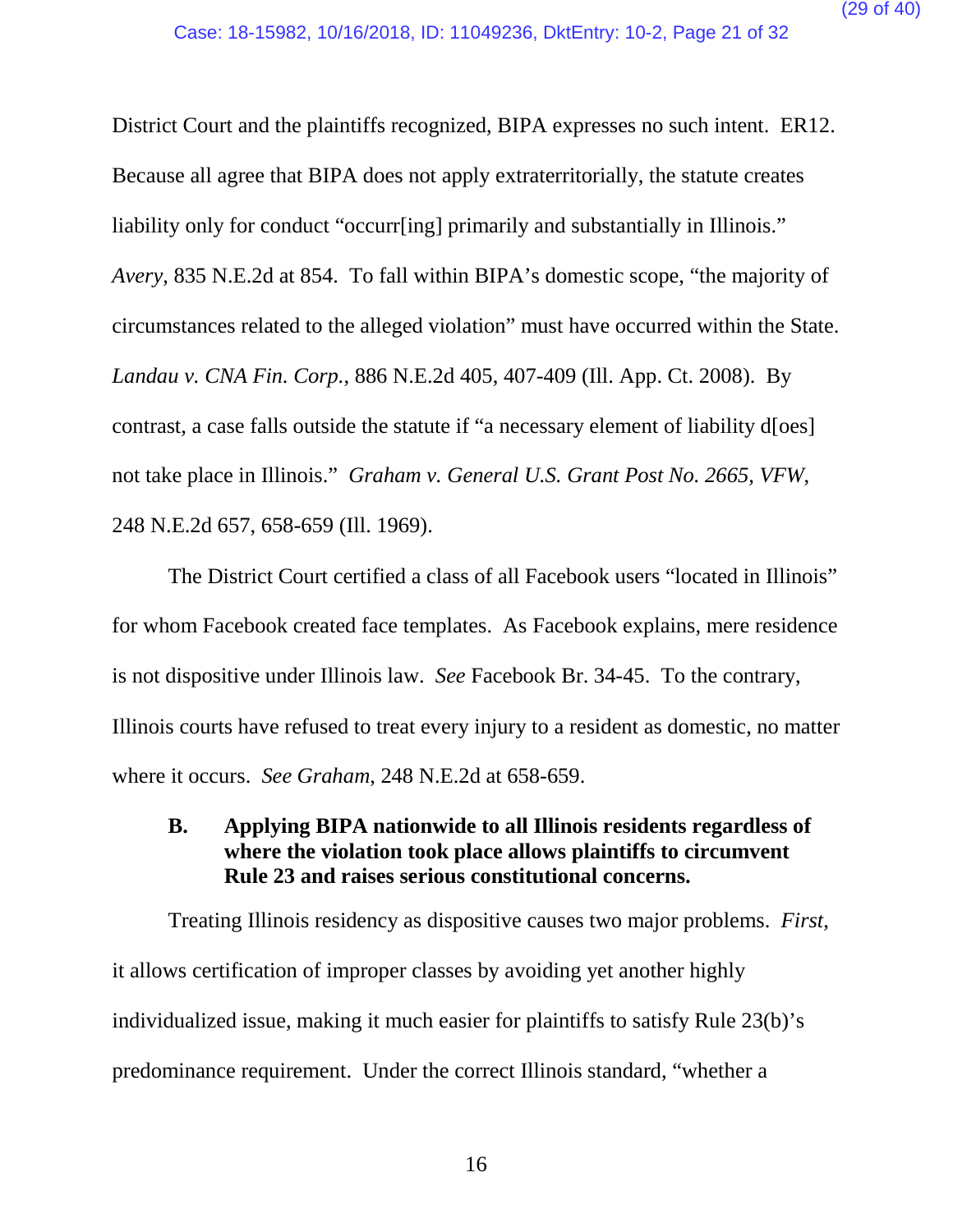District Court and the plaintiffs recognized, BIPA expresses no such intent. ER12. Because all agree that BIPA does not apply extraterritorially, the statute creates liability only for conduct "occurr[ing] primarily and substantially in Illinois." *Avery*, 835 N.E.2d at 854. To fall within BIPA's domestic scope, "the majority of circumstances related to the alleged violation" must have occurred within the State. *Landau v. CNA Fin. Corp.*, 886 N.E.2d 405, 407-409 (Ill. App. Ct. 2008). By contrast, a case falls outside the statute if "a necessary element of liability d[oes] not take place in Illinois." *Graham v. General U.S. Grant Post No. 2665, VFW*, 248 N.E.2d 657, 658-659 (Ill. 1969).

The District Court certified a class of all Facebook users "located in Illinois" for whom Facebook created face templates. As Facebook explains, mere residence is not dispositive under Illinois law. *See* Facebook Br. 34-45. To the contrary, Illinois courts have refused to treat every injury to a resident as domestic, no matter where it occurs. *See Graham*, 248 N.E.2d at 658-659.

<span id="page-28-0"></span>**B. Applying BIPA nationwide to all Illinois residents regardless of where the violation took place allows plaintiffs to circumvent Rule 23 and raises serious constitutional concerns.**

Treating Illinois residency as dispositive causes two major problems. *First*, it allows certification of improper classes by avoiding yet another highly individualized issue, making it much easier for plaintiffs to satisfy Rule 23(b)'s predominance requirement. Under the correct Illinois standard, "whether a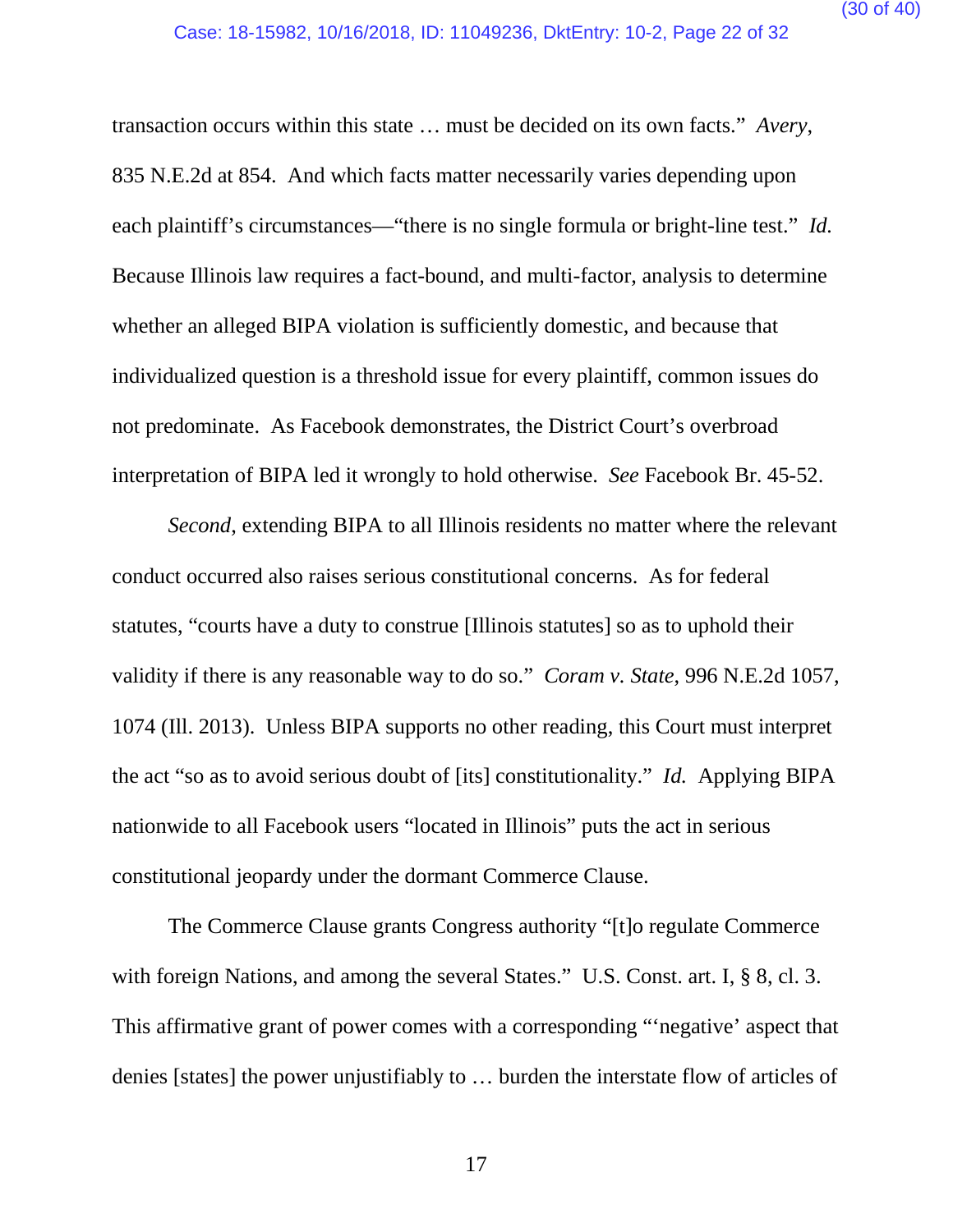transaction occurs within this state … must be decided on its own facts." *Avery*, 835 N.E.2d at 854. And which facts matter necessarily varies depending upon each plaintiff's circumstances—"there is no single formula or bright-line test." *Id.* Because Illinois law requires a fact-bound, and multi-factor, analysis to determine whether an alleged BIPA violation is sufficiently domestic, and because that individualized question is a threshold issue for every plaintiff, common issues do not predominate. As Facebook demonstrates, the District Court's overbroad interpretation of BIPA led it wrongly to hold otherwise. *See* Facebook Br. 45-52.

*Second*, extending BIPA to all Illinois residents no matter where the relevant conduct occurred also raises serious constitutional concerns. As for federal statutes, "courts have a duty to construe [Illinois statutes] so as to uphold their validity if there is any reasonable way to do so." *Coram v. State*, 996 N.E.2d 1057, 1074 (Ill. 2013). Unless BIPA supports no other reading, this Court must interpret the act "so as to avoid serious doubt of [its] constitutionality." *Id.* Applying BIPA nationwide to all Facebook users "located in Illinois" puts the act in serious constitutional jeopardy under the dormant Commerce Clause.

The Commerce Clause grants Congress authority "[t]o regulate Commerce with foreign Nations, and among the several States." U.S. Const. art. I, § 8, cl. 3. This affirmative grant of power comes with a corresponding "'negative' aspect that denies [states] the power unjustifiably to … burden the interstate flow of articles of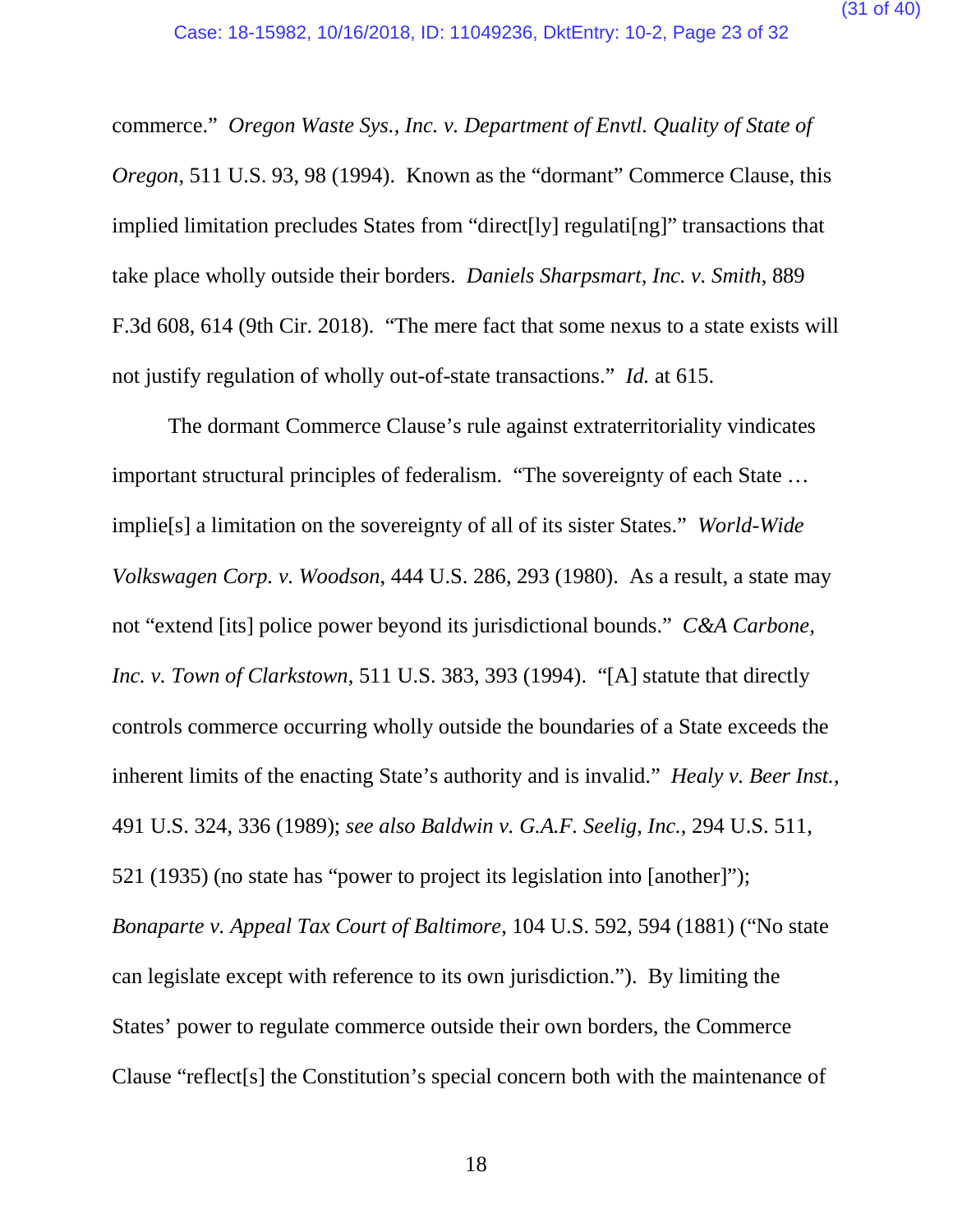commerce." *Oregon Waste Sys., Inc. v. Department of Envtl. Quality of State of Oregon*, 511 U.S. 93, 98 (1994). Known as the "dormant" Commerce Clause, this implied limitation precludes States from "direct[ly] regulati[ng]" transactions that take place wholly outside their borders. *Daniels Sharpsmart, Inc. v. Smith*, 889 F.3d 608, 614 (9th Cir. 2018). "The mere fact that some nexus to a state exists will not justify regulation of wholly out-of-state transactions." *Id.* at 615.

The dormant Commerce Clause's rule against extraterritoriality vindicates important structural principles of federalism. "The sovereignty of each State … implie[s] a limitation on the sovereignty of all of its sister States." *World-Wide Volkswagen Corp. v. Woodson*, 444 U.S. 286, 293 (1980). As a result, a state may not "extend [its] police power beyond its jurisdictional bounds." *C&A Carbone, Inc. v. Town of Clarkstown*, 511 U.S. 383, 393 (1994). "[A] statute that directly controls commerce occurring wholly outside the boundaries of a State exceeds the inherent limits of the enacting State's authority and is invalid." *Healy v. Beer Inst.*, 491 U.S. 324, 336 (1989); *see also Baldwin v. G.A.F. Seelig, Inc.*, 294 U.S. 511, 521 (1935) (no state has "power to project its legislation into [another]"); *Bonaparte v. Appeal Tax Court of Baltimore*, 104 U.S. 592, 594 (1881) ("No state can legislate except with reference to its own jurisdiction."). By limiting the States' power to regulate commerce outside their own borders, the Commerce Clause "reflect[s] the Constitution's special concern both with the maintenance of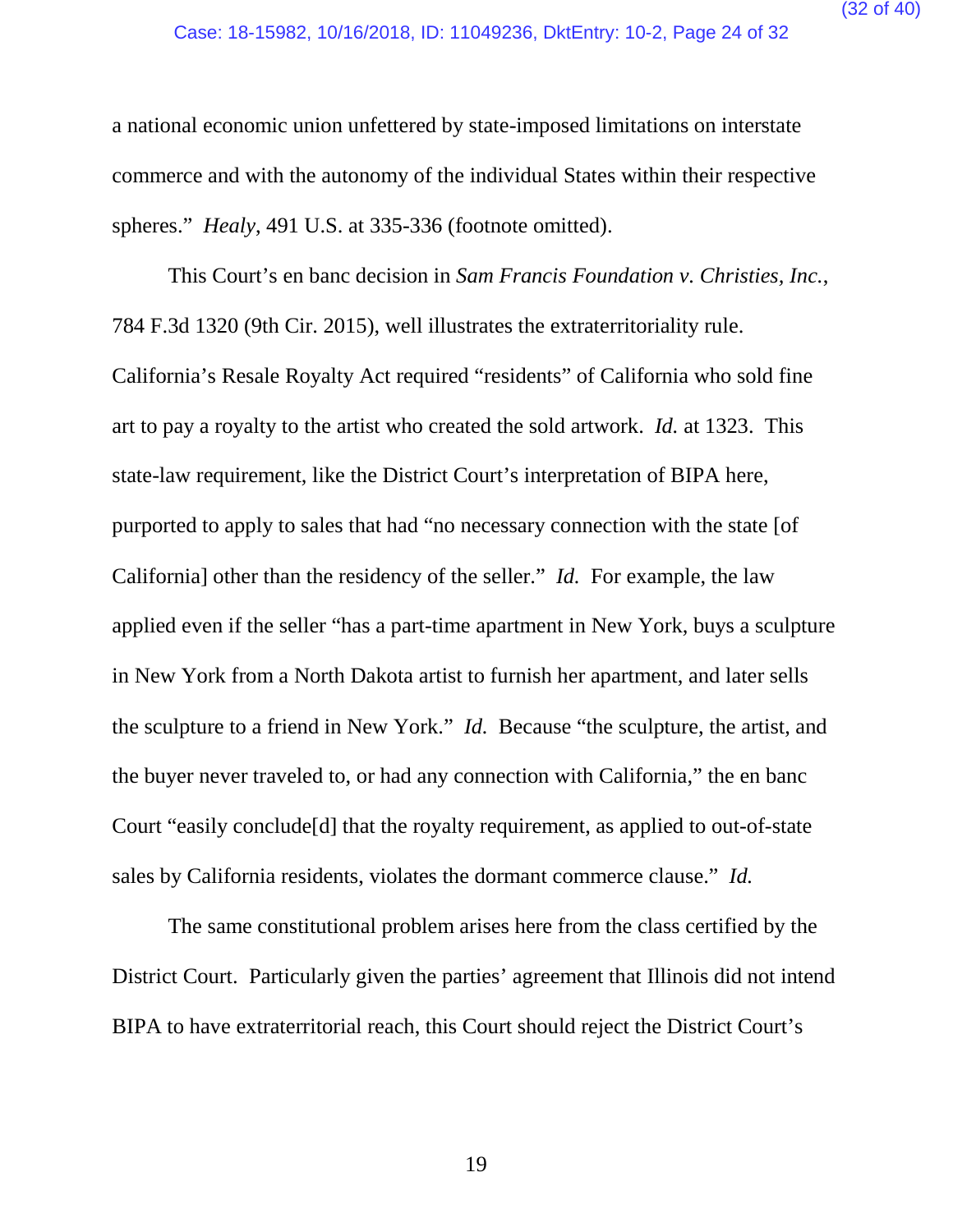a national economic union unfettered by state-imposed limitations on interstate commerce and with the autonomy of the individual States within their respective spheres." *Healy*, 491 U.S. at 335-336 (footnote omitted).

This Court's en banc decision in *Sam Francis Foundation v. Christies, Inc.*, 784 F.3d 1320 (9th Cir. 2015), well illustrates the extraterritoriality rule. California's Resale Royalty Act required "residents" of California who sold fine art to pay a royalty to the artist who created the sold artwork. *Id.* at 1323. This state-law requirement, like the District Court's interpretation of BIPA here, purported to apply to sales that had "no necessary connection with the state [of California] other than the residency of the seller." *Id.* For example, the law applied even if the seller "has a part-time apartment in New York, buys a sculpture in New York from a North Dakota artist to furnish her apartment, and later sells the sculpture to a friend in New York." *Id.* Because "the sculpture, the artist, and the buyer never traveled to, or had any connection with California," the en banc Court "easily conclude[d] that the royalty requirement, as applied to out-of-state sales by California residents, violates the dormant commerce clause." *Id.*

The same constitutional problem arises here from the class certified by the District Court. Particularly given the parties' agreement that Illinois did not intend BIPA to have extraterritorial reach, this Court should reject the District Court's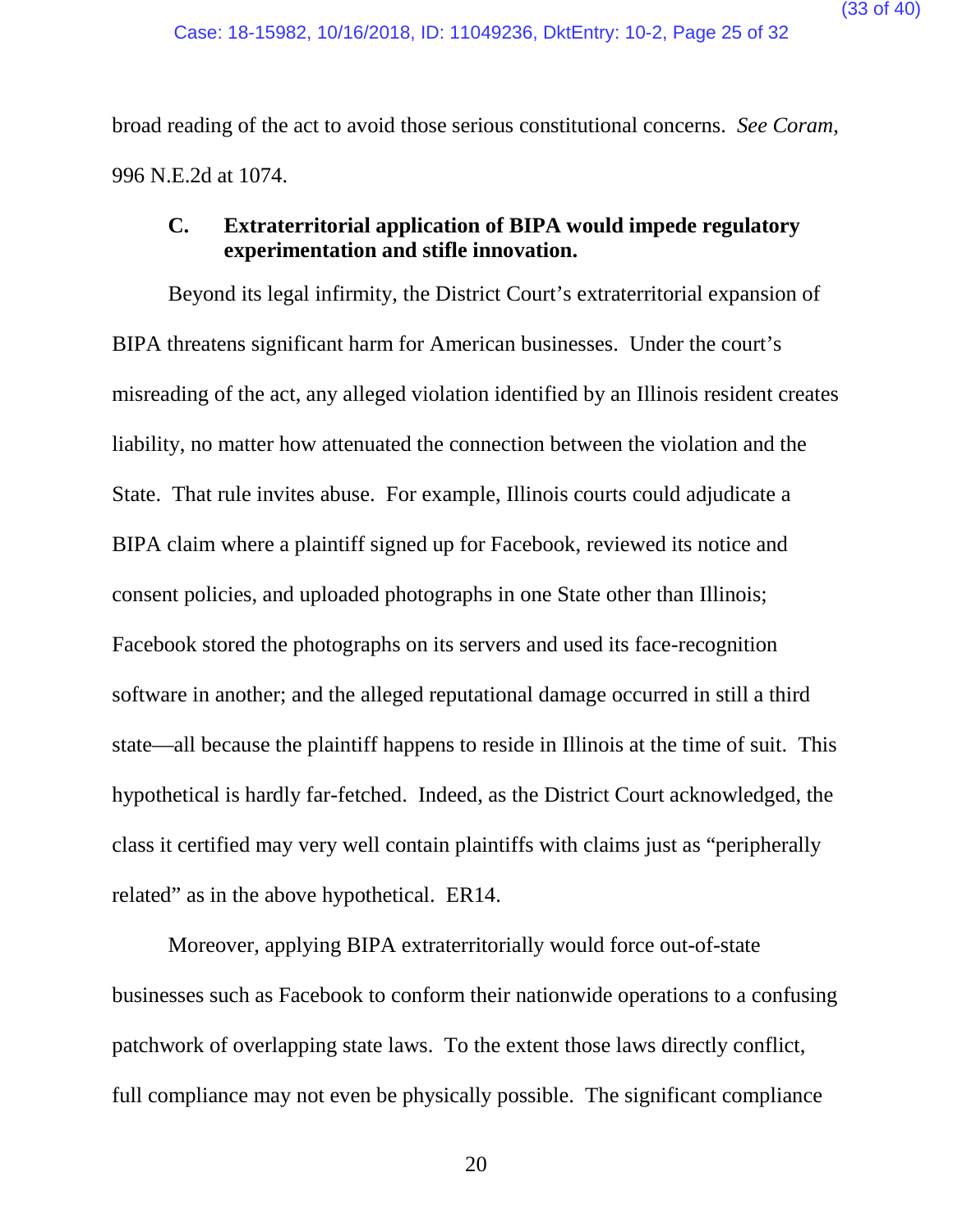broad reading of the act to avoid those serious constitutional concerns. *See Coram*, 996 N.E.2d at 1074.

#### <span id="page-32-0"></span>**C. Extraterritorial application of BIPA would impede regulatory experimentation and stifle innovation.**

Beyond its legal infirmity, the District Court's extraterritorial expansion of BIPA threatens significant harm for American businesses. Under the court's misreading of the act, any alleged violation identified by an Illinois resident creates liability, no matter how attenuated the connection between the violation and the State. That rule invites abuse. For example, Illinois courts could adjudicate a BIPA claim where a plaintiff signed up for Facebook, reviewed its notice and consent policies, and uploaded photographs in one State other than Illinois; Facebook stored the photographs on its servers and used its face-recognition software in another; and the alleged reputational damage occurred in still a third state—all because the plaintiff happens to reside in Illinois at the time of suit. This hypothetical is hardly far-fetched. Indeed, as the District Court acknowledged, the class it certified may very well contain plaintiffs with claims just as "peripherally related" as in the above hypothetical. ER14.

Moreover, applying BIPA extraterritorially would force out-of-state businesses such as Facebook to conform their nationwide operations to a confusing patchwork of overlapping state laws. To the extent those laws directly conflict, full compliance may not even be physically possible. The significant compliance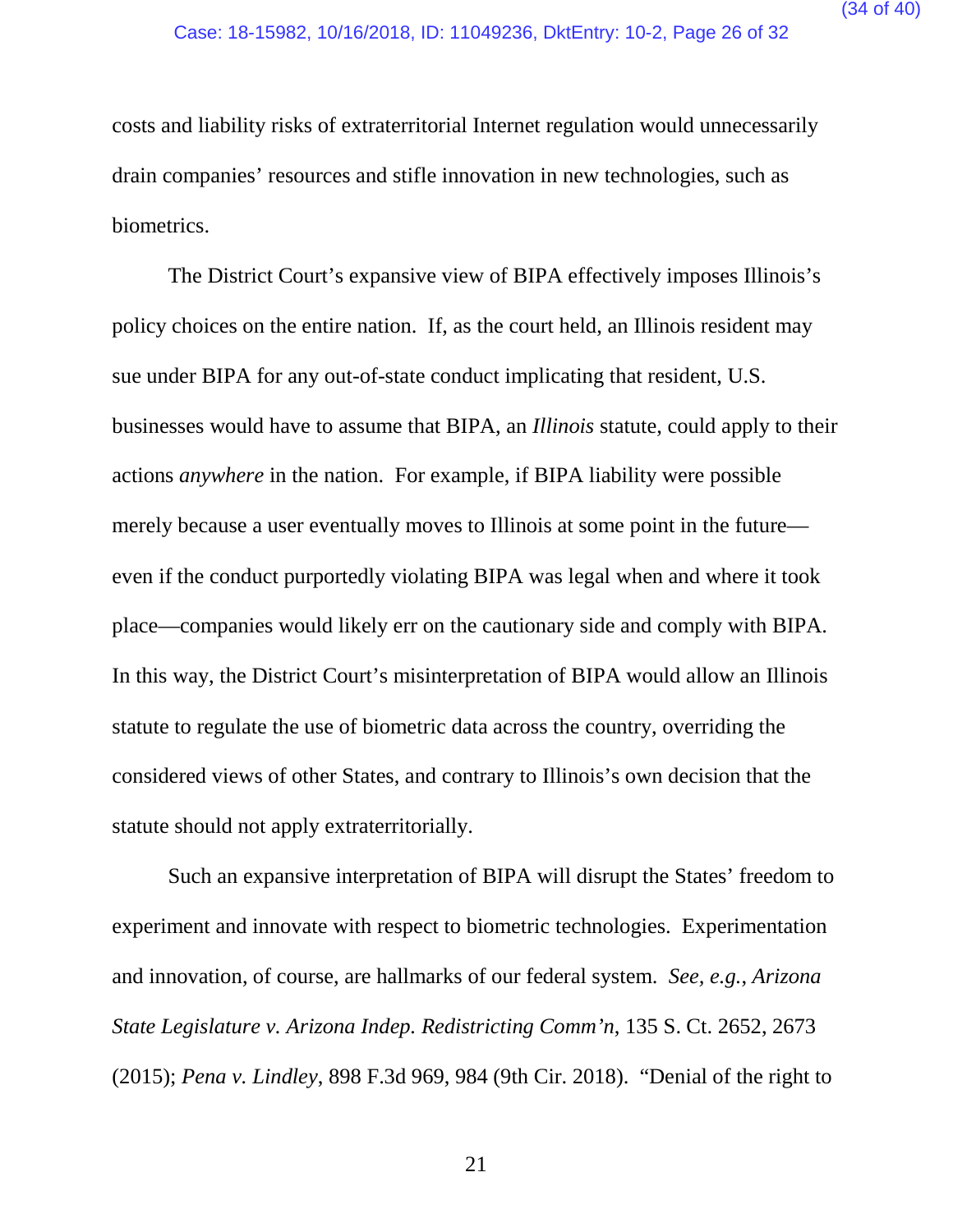costs and liability risks of extraterritorial Internet regulation would unnecessarily drain companies' resources and stifle innovation in new technologies, such as biometrics.

The District Court's expansive view of BIPA effectively imposes Illinois's policy choices on the entire nation. If, as the court held, an Illinois resident may sue under BIPA for any out-of-state conduct implicating that resident, U.S. businesses would have to assume that BIPA, an *Illinois* statute, could apply to their actions *anywhere* in the nation. For example, if BIPA liability were possible merely because a user eventually moves to Illinois at some point in the future even if the conduct purportedly violating BIPA was legal when and where it took place—companies would likely err on the cautionary side and comply with BIPA. In this way, the District Court's misinterpretation of BIPA would allow an Illinois statute to regulate the use of biometric data across the country, overriding the considered views of other States, and contrary to Illinois's own decision that the statute should not apply extraterritorially.

Such an expansive interpretation of BIPA will disrupt the States' freedom to experiment and innovate with respect to biometric technologies. Experimentation and innovation, of course, are hallmarks of our federal system. *See, e.g.*, *Arizona State Legislature v. Arizona Indep. Redistricting Comm'n*, 135 S. Ct. 2652, 2673 (2015); *Pena v. Lindley*, 898 F.3d 969, 984 (9th Cir. 2018). "Denial of the right to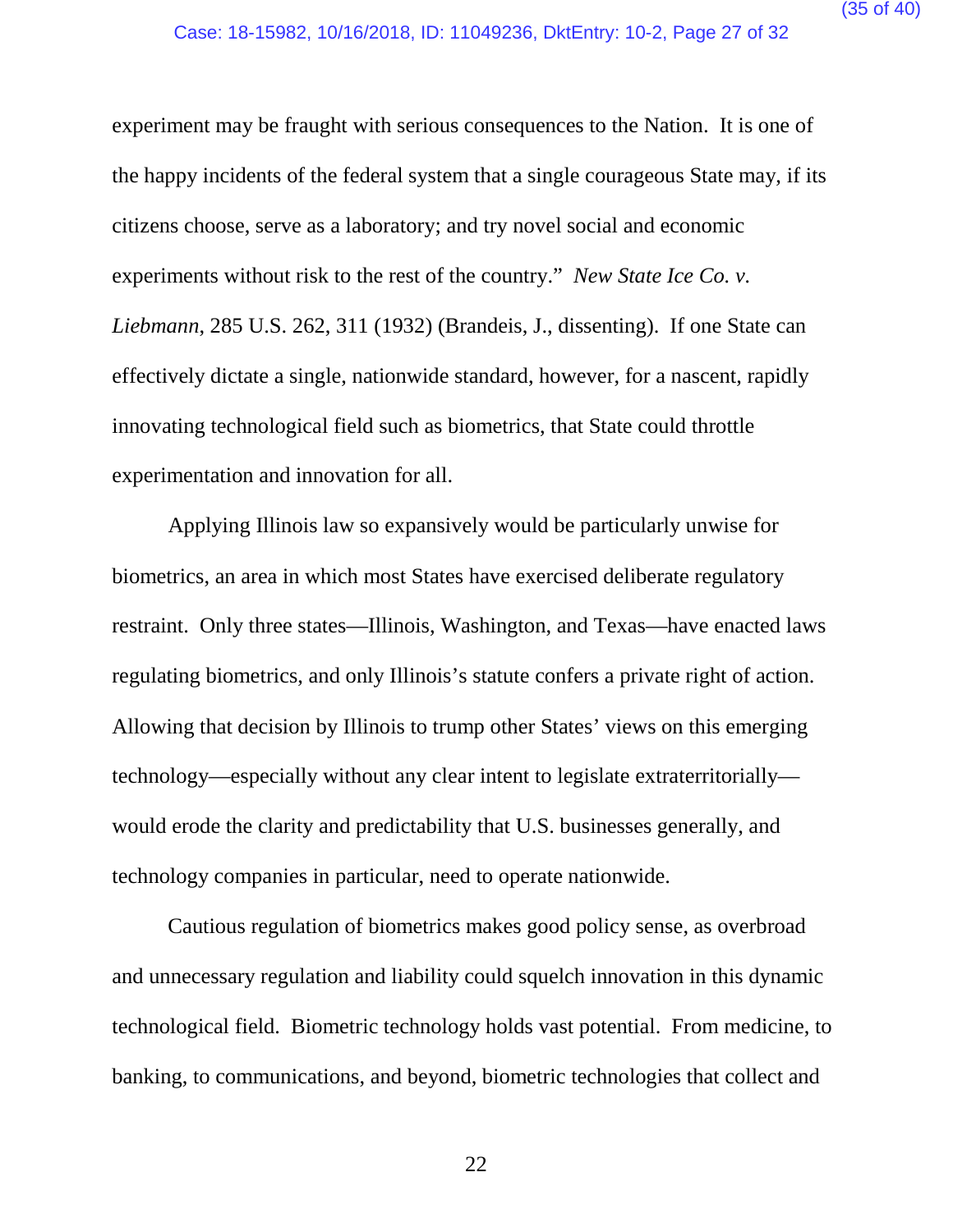experiment may be fraught with serious consequences to the Nation. It is one of the happy incidents of the federal system that a single courageous State may, if its citizens choose, serve as a laboratory; and try novel social and economic experiments without risk to the rest of the country." *New State Ice Co. v. Liebmann*, 285 U.S. 262, 311 (1932) (Brandeis, J., dissenting). If one State can effectively dictate a single, nationwide standard, however, for a nascent, rapidly innovating technological field such as biometrics, that State could throttle experimentation and innovation for all.

Applying Illinois law so expansively would be particularly unwise for biometrics, an area in which most States have exercised deliberate regulatory restraint. Only three states—Illinois, Washington, and Texas—have enacted laws regulating biometrics, and only Illinois's statute confers a private right of action. Allowing that decision by Illinois to trump other States' views on this emerging technology—especially without any clear intent to legislate extraterritorially would erode the clarity and predictability that U.S. businesses generally, and technology companies in particular, need to operate nationwide.

Cautious regulation of biometrics makes good policy sense, as overbroad and unnecessary regulation and liability could squelch innovation in this dynamic technological field. Biometric technology holds vast potential. From medicine, to banking, to communications, and beyond, biometric technologies that collect and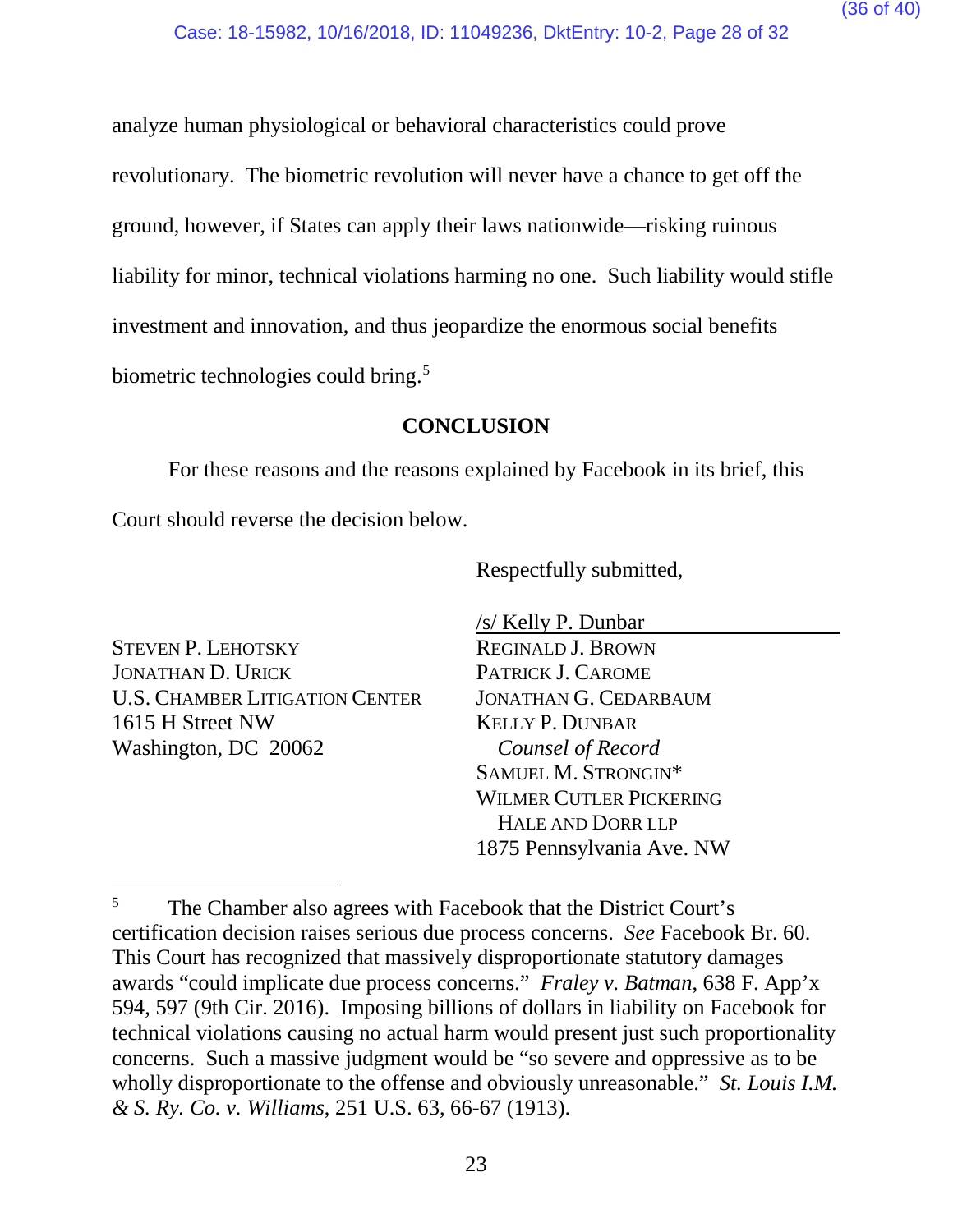analyze human physiological or behavioral characteristics could prove revolutionary. The biometric revolution will never have a chance to get off the ground, however, if States can apply their laws nationwide—risking ruinous liability for minor, technical violations harming no one. Such liability would stifle investment and innovation, and thus jeopardize the enormous social benefits biometric technologies could bring.<sup>[5](#page-35-1)</sup>

## **CONCLUSION**

<span id="page-35-0"></span>For these reasons and the reasons explained by Facebook in its brief, this

Court should reverse the decision below.

Respectfully submitted,

STEVEN P. LEHOTSKY JONATHAN D. URICK U.S. CHAMBER LITIGATION CENTER 1615 H Street NW Washington, DC 20062

/s/ Kelly P. Dunbar REGINALD J. BROWN PATRICK J. CAROME JONATHAN G. CEDARBAUM KELLY P. DUNBAR *Counsel of Record* SAMUEL M. STRONGIN\* WILMER CUTLER PICKERING HALE AND DORR LLP 1875 Pennsylvania Ave. NW

<span id="page-35-1"></span><sup>&</sup>lt;sup>5</sup> The Chamber also agrees with Facebook that the District Court's certification decision raises serious due process concerns. *See* Facebook Br. 60. This Court has recognized that massively disproportionate statutory damages awards "could implicate due process concerns." *Fraley v. Batman*, 638 F. App'x 594, 597 (9th Cir. 2016). Imposing billions of dollars in liability on Facebook for technical violations causing no actual harm would present just such proportionality concerns. Such a massive judgment would be "so severe and oppressive as to be wholly disproportionate to the offense and obviously unreasonable." *St. Louis I.M. & S. Ry. Co. v. Williams*, 251 U.S. 63, 66-67 (1913).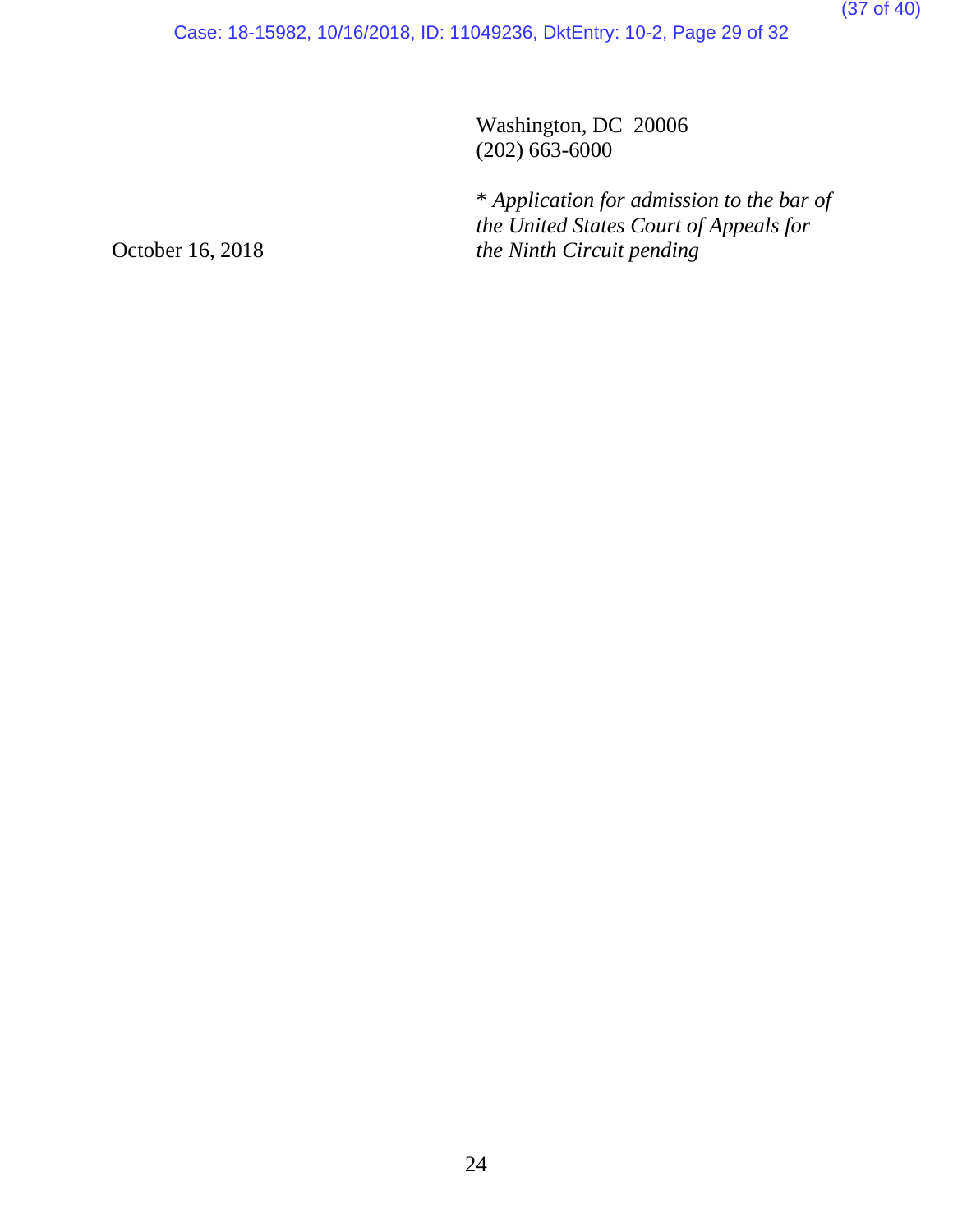Case: 18-15982, 10/16/2018, ID: 11049236, DktEntry: 10-2, Page 29 of 32

Washington, DC 20006 (202) 663-6000

\* *Application for admission to the bar of the United States Court of Appeals for the Ninth Circuit pending*

October 16, 2018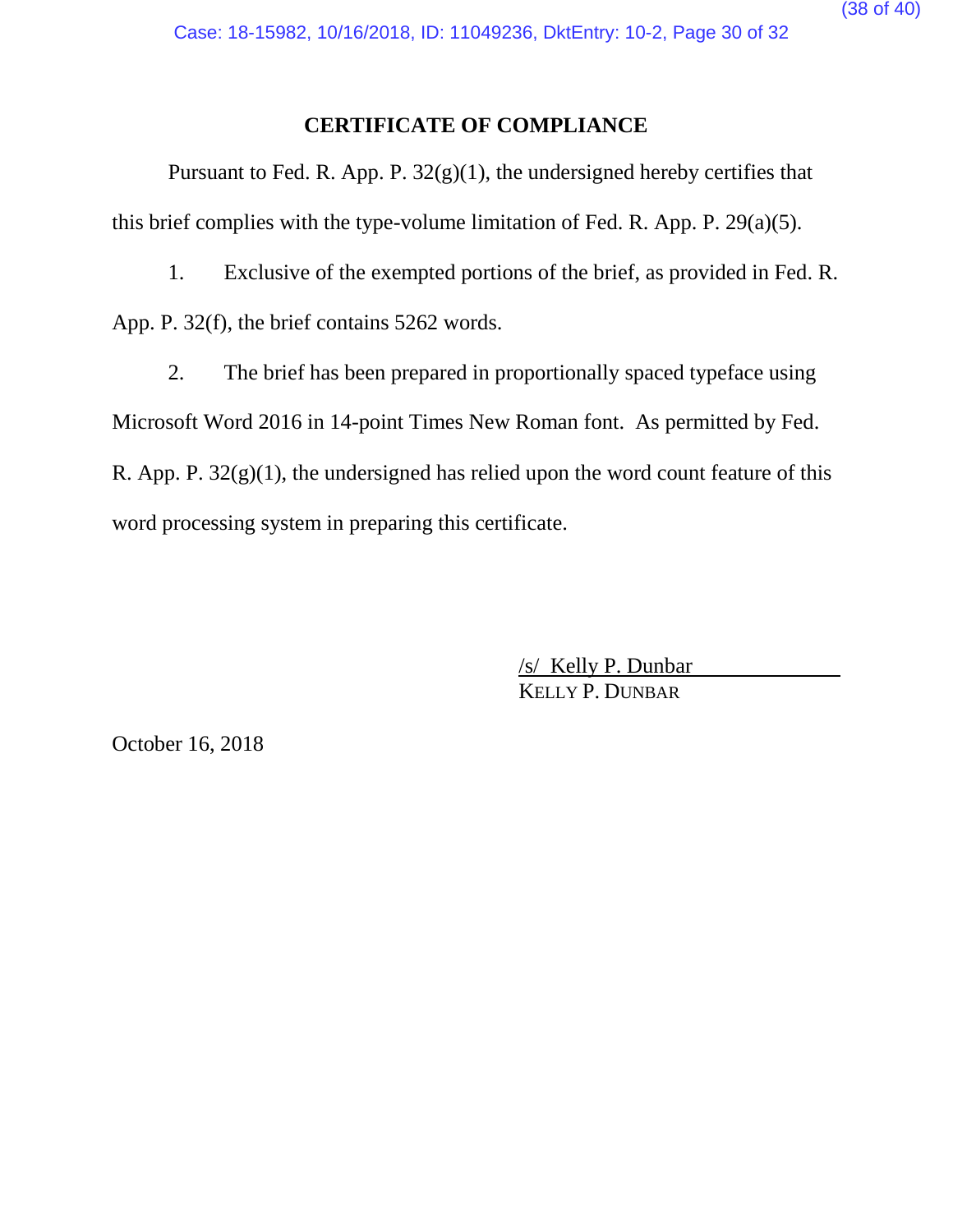#### **CERTIFICATE OF COMPLIANCE**

Pursuant to Fed. R. App. P.  $32(g)(1)$ , the undersigned hereby certifies that this brief complies with the type-volume limitation of Fed. R. App. P. 29(a)(5).

1. Exclusive of the exempted portions of the brief, as provided in Fed. R. App. P. 32(f), the brief contains 5262 words.

2. The brief has been prepared in proportionally spaced typeface using Microsoft Word 2016 in 14-point Times New Roman font. As permitted by Fed. R. App. P.  $32(g)(1)$ , the undersigned has relied upon the word count feature of this word processing system in preparing this certificate.

> /s/ Kelly P. Dunbar KELLY P. DUNBAR

October 16, 2018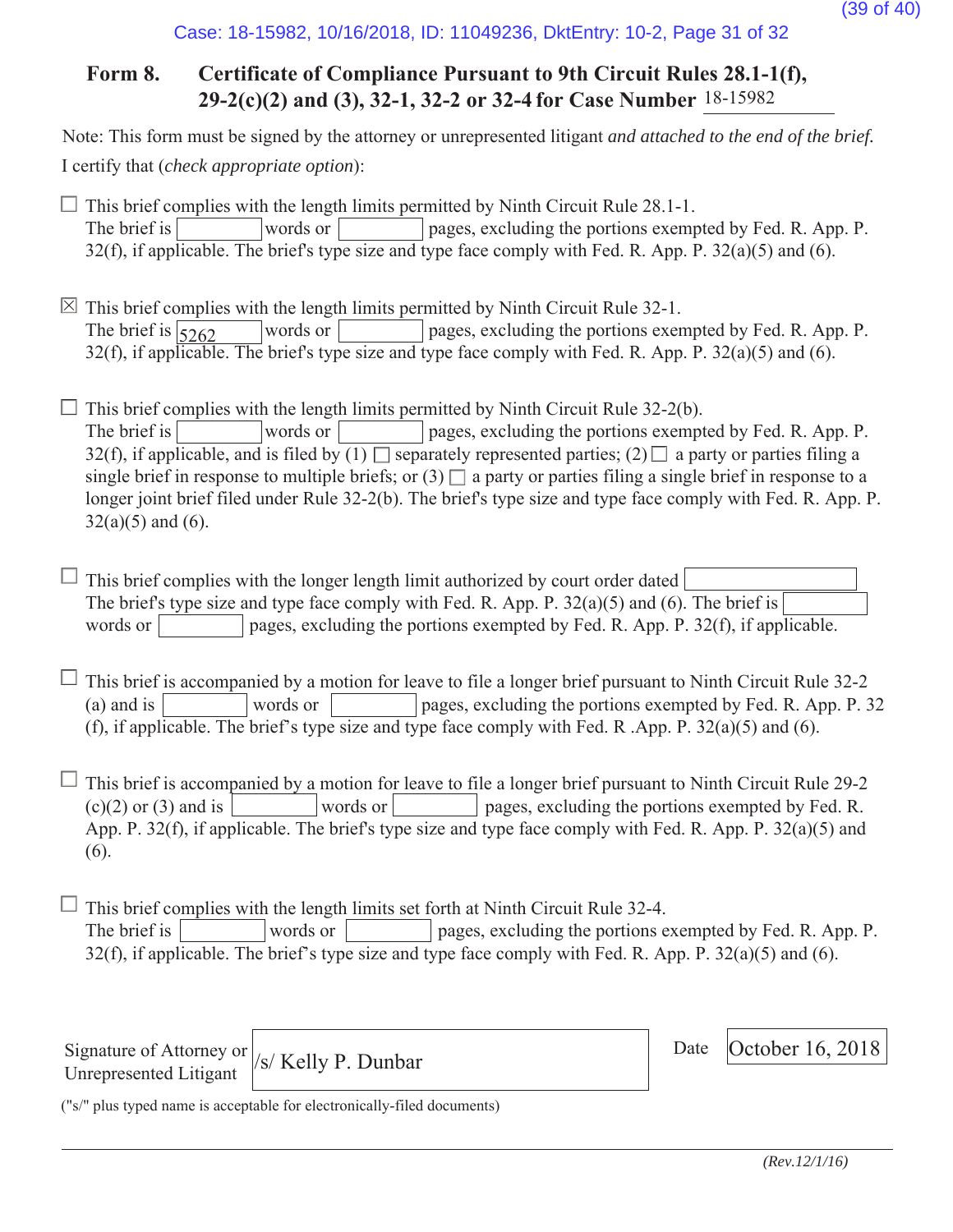#### Case: 18-15982, 10/16/2018, ID: 11049236, DktEntry: 10-2, Page 31 of 32

## **Form 8. Certificate of Compliance Pursuant to 9th Circuit Rules 28.1-1(f), 29-2(c)(2) and (3), 32-1, 32-2 or 32-4 for Case Number** 18-15982

Note: This form must be signed by the attorney or unrepresented litigant *and attached to the end of the brief.* I certify that (*check appropriate option*):

 $\Box$  This brief complies with the length limits permitted by Ninth Circuit Rule 28.1-1. The brief is words or pages, excluding the portions exempted by Fed. R. App. P. 32(f), if applicable. The brief's type size and type face comply with Fed. R. App. P.  $32(a)(5)$  and (6).

 $\boxtimes$  This brief complies with the length limits permitted by Ninth Circuit Rule 32-1. words or pages, excluding the portions exempted by Fed. R. App. P.  $32(f)$ , if applicable. The brief's type size and type face comply with Fed. R. App. P.  $32(a)(5)$  and (6). The brief is  $\sqrt{5262}$ 

 $\Box$  This brief complies with the length limits permitted by Ninth Circuit Rule 32-2(b). The brief is words or pages, excluding the portions exempted by Fed. R. App. P. 32(f), if applicable, and is filed by  $(1)$  separately represented parties;  $(2)$  a party or parties filing a single brief in response to multiple briefs; or  $(3)$  a party or parties filing a single brief in response to a longer joint brief filed under Rule 32-2(b). The brief's type size and type face comply with Fed. R. App. P.  $32(a)(5)$  and  $(6)$ .

 $\Box$  This brief complies with the longer length limit authorized by court order dated The brief's type size and type face comply with Fed. R. App. P. 32(a)(5) and (6). The brief is words or pages, excluding the portions exempted by Fed. R. App. P. 32(f), if applicable.

 $\perp$  This brief is accompanied by a motion for leave to file a longer brief pursuant to Ninth Circuit Rule 32-2 (a) and is words or pages, excluding the portions exempted by Fed. R. App. P. 32 (f), if applicable. The brief's type size and type face comply with Fed. R .App. P. 32(a)(5) and (6).

 $\Box$  This brief is accompanied by a motion for leave to file a longer brief pursuant to Ninth Circuit Rule 29-2  $(c)(2)$  or (3) and is words or words or pages, excluding the portions exempted by Fed. R. App. P. 32(f), if applicable. The brief's type size and type face comply with Fed. R. App. P. 32(a)(5) and (6).

 $\Box$  This brief complies with the length limits set forth at Ninth Circuit Rule 32-4. The brief is words or pages, excluding the portions exempted by Fed. R. App. P. 32(f), if applicable. The brief's type size and type face comply with Fed. R. App. P. 32(a)(5) and (6).

Signature of Attorney or Unrepresented Litigant

 $\sqrt{s}$  Kelly P. Dunbar Date October 16, 2018

Date

("s/" plus typed name is acceptable for electronically-filed documents)